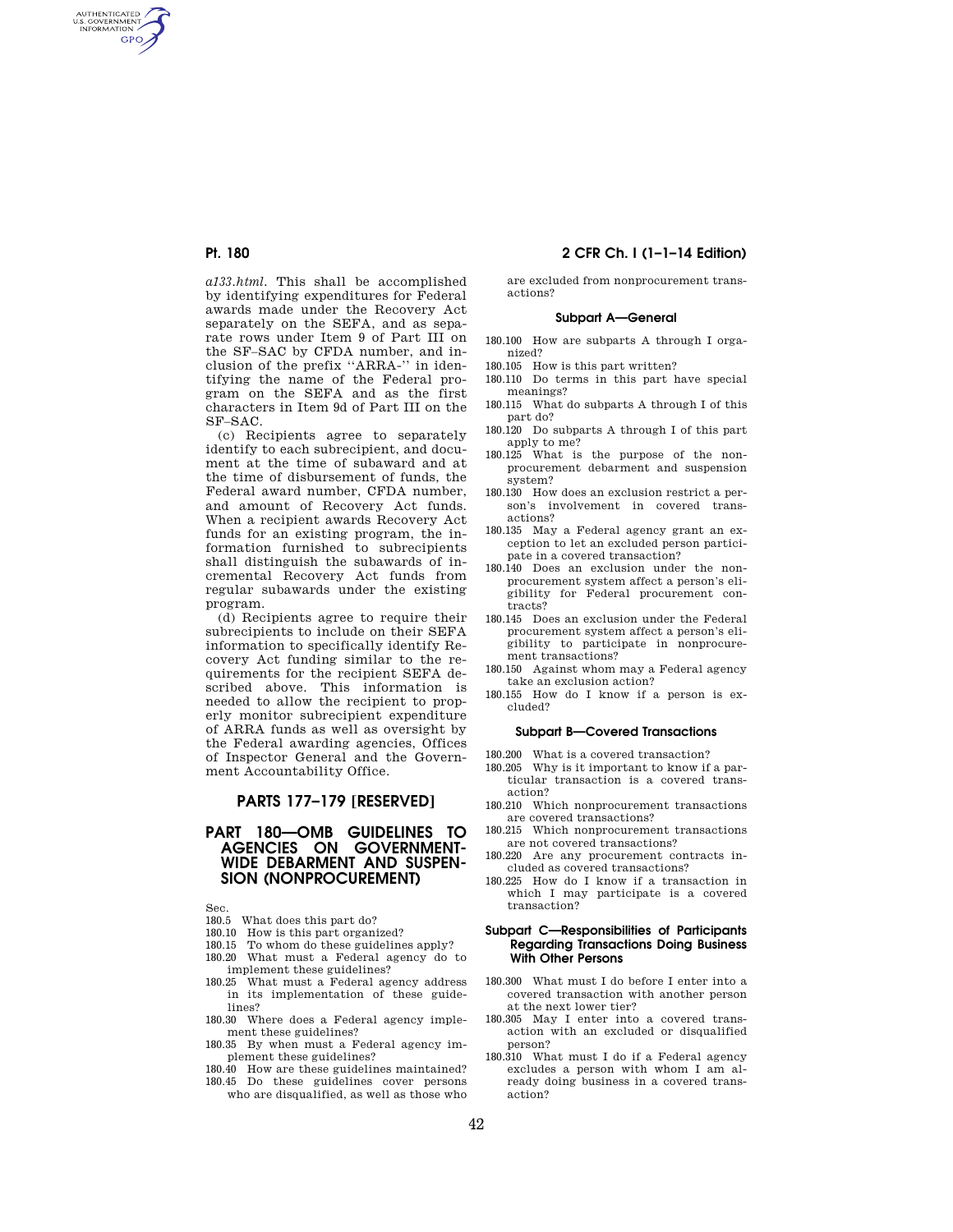AUTHENTICATED<br>U.S. GOVERNMENT<br>INFORMATION **GPO** 

> *a133.html.* This shall be accomplished by identifying expenditures for Federal awards made under the Recovery Act separately on the SEFA, and as separate rows under Item 9 of Part III on the SF–SAC by CFDA number, and inclusion of the prefix ''ARRA-'' in identifying the name of the Federal program on the SEFA and as the first characters in Item 9d of Part III on the SF–SAC.

> (c) Recipients agree to separately identify to each subrecipient, and document at the time of subaward and at the time of disbursement of funds, the Federal award number, CFDA number, and amount of Recovery Act funds. When a recipient awards Recovery Act funds for an existing program, the information furnished to subrecipients shall distinguish the subawards of incremental Recovery Act funds from regular subawards under the existing program.

> (d) Recipients agree to require their subrecipients to include on their SEFA information to specifically identify Recovery Act funding similar to the requirements for the recipient SEFA described above. This information is needed to allow the recipient to properly monitor subrecipient expenditure of ARRA funds as well as oversight by the Federal awarding agencies, Offices of Inspector General and the Government Accountability Office.

# **PARTS 177–179 [RESERVED]**

# **PART 180—OMB GUIDELINES TO AGENCIES ON GOVERNMENT-WIDE DEBARMENT AND SUSPEN-SION (NONPROCUREMENT)**

Sec.

- 180.5 What does this part do?
- 180.10 How is this part organized?
- 180.15 To whom do these guidelines apply? 180.20 What must a Federal agency do to
- implement these guidelines? 180.25 What must a Federal agency address
- in its implementation of these guidelines? 180.30 Where does a Federal agency imple-
- ment these guidelines?
- 180.35 By when must a Federal agency implement these guidelines?
- 180.40 How are these guidelines maintained? 180.45 Do these guidelines cover persons who are disqualified, as well as those who

# **Pt. 180 2 CFR Ch. I (1–1–14 Edition)**

are excluded from nonprocurement transactions?

# **Subpart A—General**

- 180.100 How are subparts A through I organized?
- 180.105 How is this part written?
- 180.110 Do terms in this part have special meanings? 180.115 What do subparts A through I of this
- part do? 180.120 Do subparts A through I of this part
- apply to me? 180.125 What is the purpose of the non-
- procurement debarment and suspension system?
- 180.130 How does an exclusion restrict a person's involvement in covered transactions?
- 180.135 May a Federal agency grant an exception to let an excluded person participate in a covered transaction?
- 180.140 Does an exclusion under the nonprocurement system affect a person's eligibility for Federal procurement contracts?
- 180.145 Does an exclusion under the Federal procurement system affect a person's eligibility to participate in nonprocurement transactions?
- 180.150 Against whom may a Federal agency take an exclusion action?
- 180.155 How do I know if a person is excluded?

# **Subpart B—Covered Transactions**

- 180.200 What is a covered transaction?
- 180.205 Why is it important to know if a particular transaction is a covered transaction?
- 180.210 Which nonprocurement transactions are covered transactions?
- 180.215 Which nonprocurement transactions are not covered transactions?
- 180.220 Are any procurement contracts included as covered transactions?
- 180.225 How do I know if a transaction in which I may participate is a covered transaction?

#### **Subpart C—Responsibilities of Participants Regarding Transactions Doing Business With Other Persons**

- 180.300 What must I do before I enter into a covered transaction with another person at the next lower tier?
- 180.305 May I enter into a covered transaction with an excluded or disqualified person?
- 180.310 What must I do if a Federal agency excludes a person with whom I am already doing business in a covered transaction?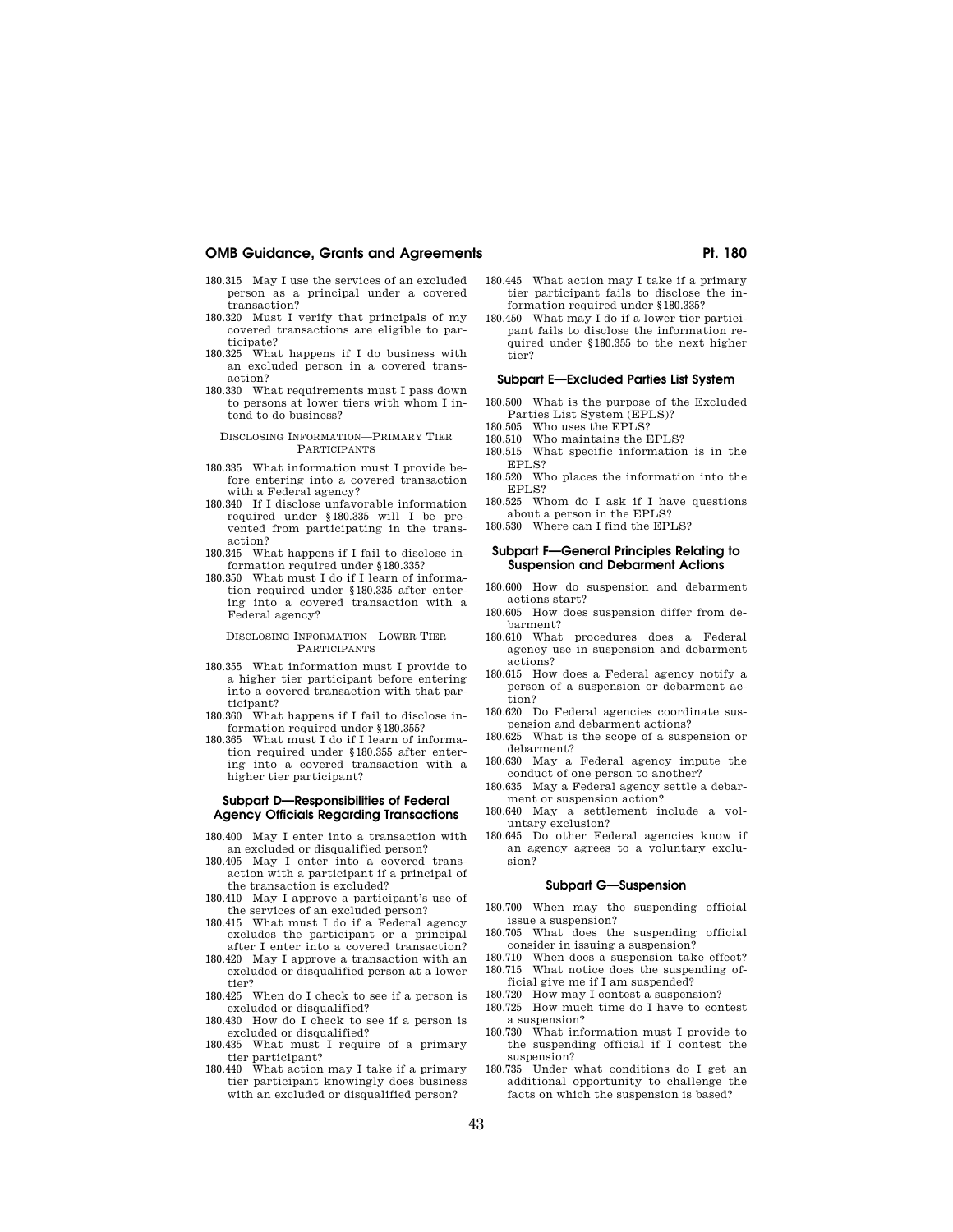- 180.315 May I use the services of an excluded person as a principal under a covered transaction?
- 180.320 Must I verify that principals of my covered transactions are eligible to participate?
- 180.325 What happens if I do business with an excluded person in a covered transaction?
- 180.330 What requirements must I pass down to persons at lower tiers with whom I intend to do business?

#### DISCLOSING INFORMATION—PRIMARY TIER PARTICIPANTS

- 180.335 What information must I provide before entering into a covered transaction with a Federal agency?
- 180.340 If I disclose unfavorable information required under §180.335 will I be prevented from participating in the transaction?
- 180.345 What happens if I fail to disclose information required under §180.335?
- 180.350 What must I do if I learn of information required under §180.335 after entering into a covered transaction with a Federal agency?

#### DISCLOSING INFORMATION—LOWER TIER PARTICIPANTS

- 180.355 What information must I provide to a higher tier participant before entering into a covered transaction with that participant?
- 180.360 What happens if I fail to disclose information required under §180.355?
- 180.365 What must I do if I learn of information required under §180.355 after entering into a covered transaction with a higher tier participant?

#### **Subpart D—Responsibilities of Federal Agency Officials Regarding Transactions**

- 180.400 May I enter into a transaction with an excluded or disqualified person?
- 180.405 May I enter into a covered transaction with a participant if a principal of the transaction is excluded?
- 180.410 May I approve a participant's use of the services of an excluded person?
- 180.415 What must I do if a Federal agency excludes the participant or a principal after I enter into a covered transaction?
- 180.420 May I approve a transaction with an excluded or disqualified person at a lower tier?
- 180.425 When do I check to see if a person is excluded or disqualified?
- 180.430 How do I check to see if a person is excluded or disqualified?
- 180.435 What must I require of a primary tier participant?
- 180.440 What action may I take if a primary tier participant knowingly does business with an excluded or disqualified person?
- 180.445 What action may I take if a primary tier participant fails to disclose the information required under §180.335?
- 180.450 What may I do if a lower tier participant fails to disclose the information required under §180.355 to the next higher tier?

#### **Subpart E—Excluded Parties List System**

- 180.500 What is the purpose of the Excluded Parties List System (EPLS)?
- 180.505 Who uses the EPLS?
- 180.510 Who maintains the EPLS?<br>180.515 What specific information
- What specific information is in the EPLS?
- 180.520 Who places the information into the EPLS?
- 180.525 Whom do I ask if I have questions about a person in the EPLS?
- 180.530 Where can I find the EPLS?

#### **Subpart F—General Principles Relating to Suspension and Debarment Actions**

- 180.600 How do suspension and debarment actions start?
- 180.605 How does suspension differ from debarment?<br>180.610 What
- procedures does a Federal agency use in suspension and debarment actions?
- 180.615 How does a Federal agency notify a person of a suspension or debarment action?
- 180.620 Do Federal agencies coordinate suspension and debarment actions?
- 180.625 What is the scope of a suspension or debarment? 180.630 May a Federal agency impute the
- conduct of one person to another? 180.635 May a Federal agency settle a debar-
- ment or suspension action? 180.640 May a settlement include a vol-
- untary exclusion? 180.645 Do other Federal agencies know if an agency agrees to a voluntary exclusion?

#### **Subpart G—Suspension**

- 180.700 When may the suspending official issue a suspension?
- 180.705 What does the suspending official consider in issuing a suspension?
- 180.710 When does a suspension take effect?
- 180.715 What notice does the suspending official give me if I am suspended?
- 180.720 How may I contest a suspension? 180.725 How much time do I have to contest
- a suspension? 180.730 What information must I provide to
- the suspending official if I contest the suspension?
- 180.735 Under what conditions do I get an additional opportunity to challenge the facts on which the suspension is based?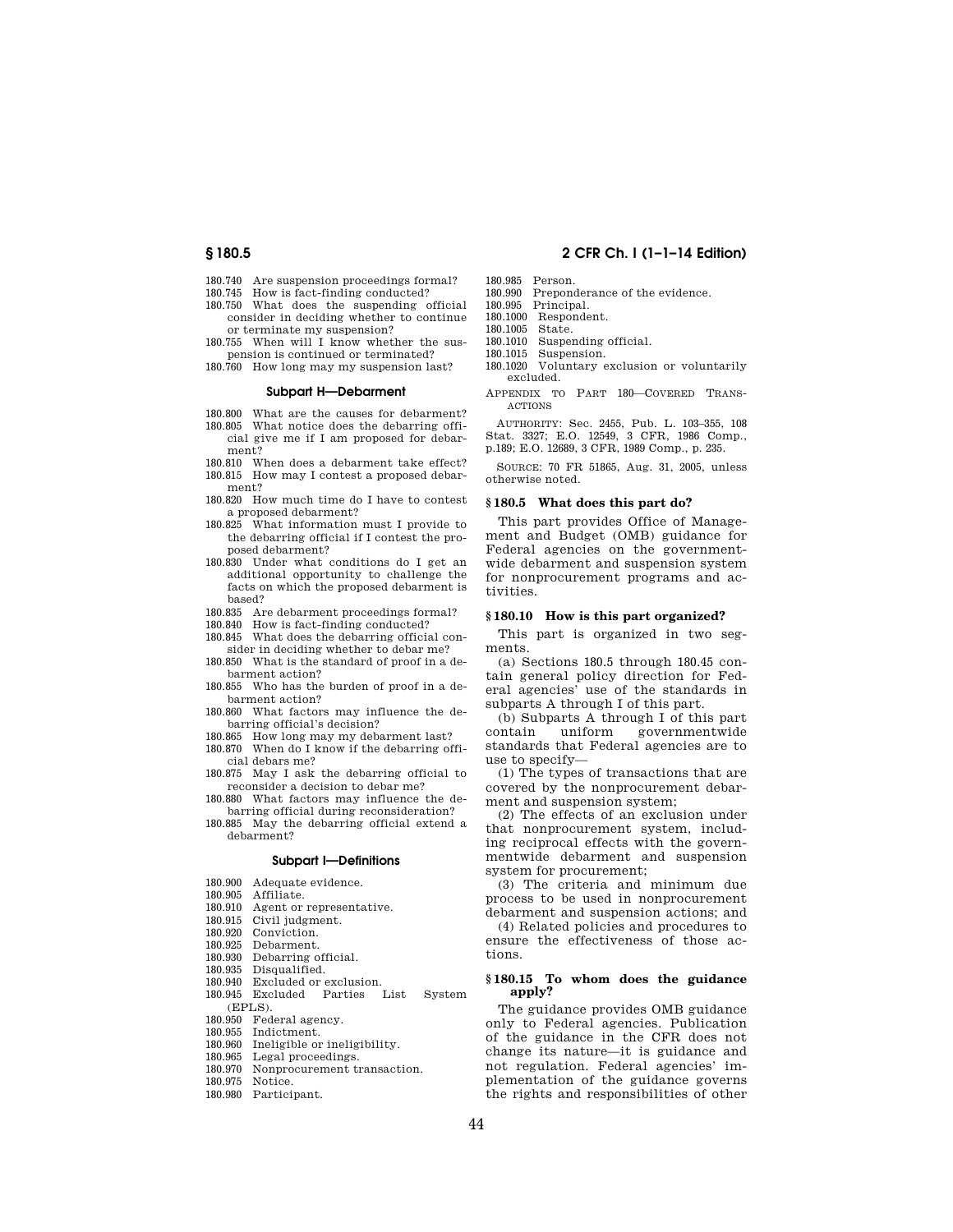- 180.740 Are suspension proceedings formal?
- 180.745 How is fact-finding conducted?
- 180.750 What does the suspending official consider in deciding whether to continue or terminate my suspension?
- 180.755 When will I know whether the sus-
- pension is continued or terminated? 180.760 How long may my suspension last?

#### **Subpart H—Debarment**

- 180.800 What are the causes for debarment?<br>180.805 What notice does the debarring offi-
- What notice does the debarring official give me if I am proposed for debarment?
- 180.810 When does a debarment take effect? 180.815 How may I contest a proposed debar-
- ment? 180.820 How much time do I have to contest
- a proposed debarment? 180.825 What information must I provide to
- the debarring official if I contest the proposed debarment?
- 180.830 Under what conditions do I get an additional opportunity to challenge the facts on which the proposed debarment is based?
- 180.835 Are debarment proceedings formal?
- 180.840 How is fact-finding conducted?
- 180.845 What does the debarring official consider in deciding whether to debar me?
- 180.850 What is the standard of proof in a debarment action?
- 180.855 Who has the burden of proof in a debarment action?
- 180.860 What factors may influence the debarring official's decision?
- 180.865 How long may my debarment last?
- 180.870 When do I know if the debarring official debars me?
- 180.875 May I ask the debarring official to reconsider a decision to debar me?
- 180.880 What factors may influence the debarring official during reconsideration?
- 180.885 May the debarring official extend a debarment?

#### **Subpart I—Definitions**

- 180.900 Adequate evidence.<br>180.905 Affiliate.
- 180.905 Affiliate.<br>180.910 Agent or
- Agent or representative.
- 180.915 Civil judgment.<br>180.920 Conviction.
- 180.920 Conviction.<br>180.925 Debarment.
- Debarment.
- 180.930 Debarring official.
- 180.935 Disqualified.<br>180.940 Excluded or 6
- 180.940 Excluded or exclusion.<br>180.945 Excluded Parties Excluded Parties List System
- (EPLS).
- 180.950 Federal agency.
- 180.955 Indictment.<br>180.960 Ineligible or
- Ineligible or ineligibility.
- 180.965 Legal proceedings.<br>180.970 Nonprocurement to
- Nonprocurement transaction.
- 180.975 Notice. 180.980 Participant.
- **§ 180.5 2 CFR Ch. I (1–1–14 Edition)** 
	- 180.985 Person.<br>180.990 Prepone
	- 180.990 Preponderance of the evidence.<br>180.995 Principal.
	- 180.995 Principal. Respondent.
	-
	- 180.1005 State.<br>180.1010 Susper
	- 180.1010 Suspending official.<br>180.1015 Suspension. Suspension.
	- 180.1020 Voluntary exclusion or voluntarily excluded.
	- APPENDIX TO PART 180—COVERED TRANS-ACTIONS

AUTHORITY: Sec. 2455, Pub. L. 103–355, 108 Stat. 3327; E.O. 12549, 3 CFR, 1986 Comp., p.189; E.O. 12689, 3 CFR, 1989 Comp., p. 235.

SOURCE: 70 FR 51865, Aug. 31, 2005, unless otherwise noted.

# **§ 180.5 What does this part do?**

This part provides Office of Management and Budget (OMB) guidance for Federal agencies on the governmentwide debarment and suspension system for nonprocurement programs and activities.

#### **§ 180.10 How is this part organized?**

This part is organized in two segments.

(a) Sections 180.5 through 180.45 contain general policy direction for Federal agencies' use of the standards in subparts A through I of this part.

(b) Subparts A through I of this part contain uniform governmentwide standards that Federal agencies are to use to specify—

(1) The types of transactions that are covered by the nonprocurement debarment and suspension system;

(2) The effects of an exclusion under that nonprocurement system, including reciprocal effects with the governmentwide debarment and suspension system for procurement;

(3) The criteria and minimum due process to be used in nonprocurement debarment and suspension actions; and

(4) Related policies and procedures to ensure the effectiveness of those actions.

# **§ 180.15 To whom does the guidance apply?**

The guidance provides OMB guidance only to Federal agencies. Publication of the guidance in the CFR does not change its nature—it is guidance and not regulation. Federal agencies' implementation of the guidance governs the rights and responsibilities of other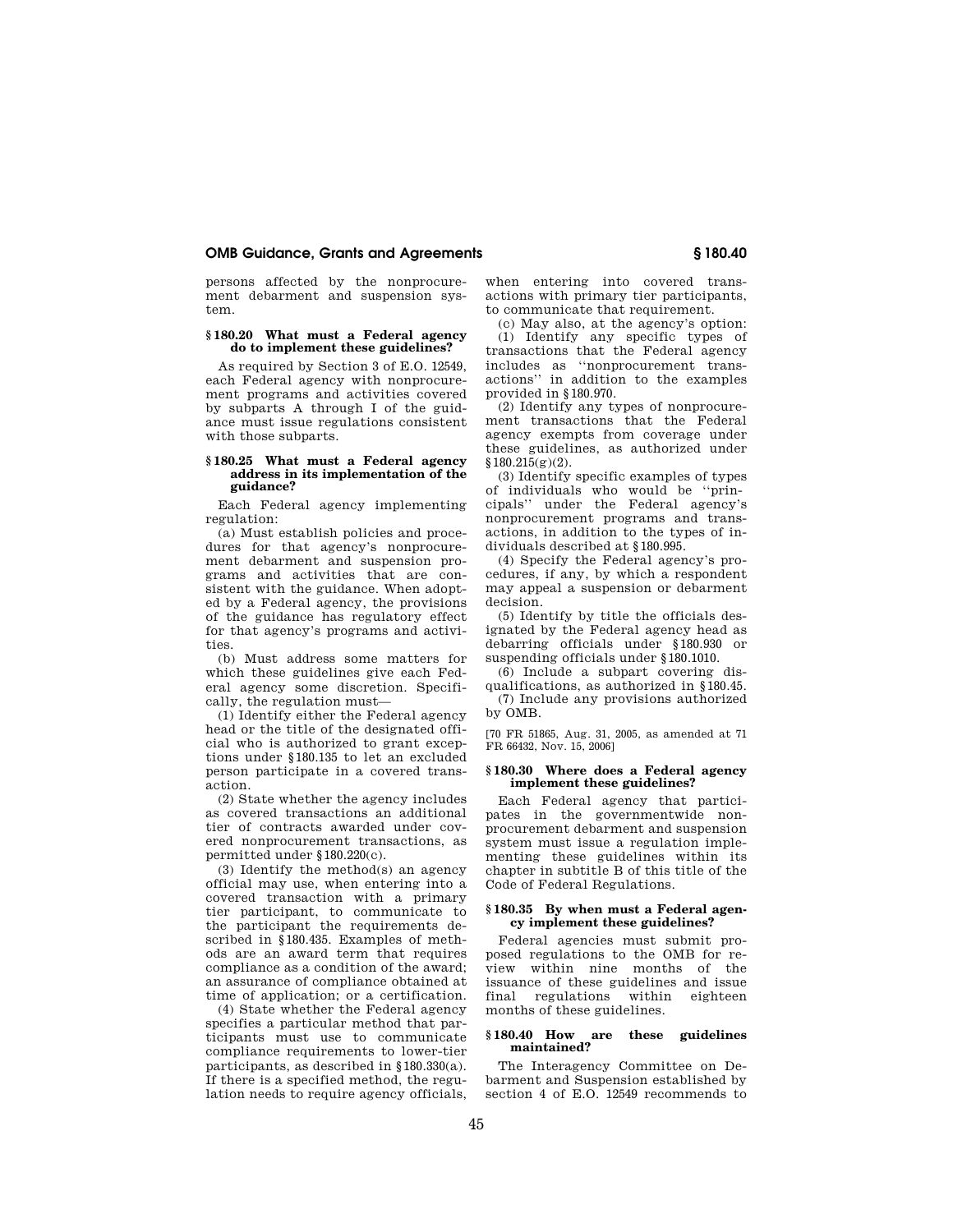persons affected by the nonprocurement debarment and suspension system.

#### **§ 180.20 What must a Federal agency do to implement these guidelines?**

As required by Section 3 of E.O. 12549, each Federal agency with nonprocurement programs and activities covered by subparts A through I of the guidance must issue regulations consistent with those subparts.

#### **§ 180.25 What must a Federal agency address in its implementation of the guidance?**

Each Federal agency implementing regulation:

(a) Must establish policies and procedures for that agency's nonprocurement debarment and suspension programs and activities that are consistent with the guidance. When adopted by a Federal agency, the provisions of the guidance has regulatory effect for that agency's programs and activities.

(b) Must address some matters for which these guidelines give each Federal agency some discretion. Specifically, the regulation must—

(1) Identify either the Federal agency head or the title of the designated official who is authorized to grant exceptions under §180.135 to let an excluded person participate in a covered transaction.

(2) State whether the agency includes as covered transactions an additional tier of contracts awarded under covered nonprocurement transactions, as permitted under §180.220(c).

(3) Identify the method(s) an agency official may use, when entering into a covered transaction with a primary tier participant, to communicate to the participant the requirements described in §180.435. Examples of methods are an award term that requires compliance as a condition of the award; an assurance of compliance obtained at time of application; or a certification.

(4) State whether the Federal agency specifies a particular method that participants must use to communicate compliance requirements to lower-tier participants, as described in §180.330(a). If there is a specified method, the regulation needs to require agency officials, when entering into covered transactions with primary tier participants, to communicate that requirement.

(c) May also, at the agency's option: (1) Identify any specific types of transactions that the Federal agency includes as ''nonprocurement transactions'' in addition to the examples provided in §180.970.

(2) Identify any types of nonprocurement transactions that the Federal agency exempts from coverage under these guidelines, as authorized under §180.215(g)(2).

(3) Identify specific examples of types of individuals who would be ''principals'' under the Federal agency's nonprocurement programs and transactions, in addition to the types of individuals described at §180.995.

(4) Specify the Federal agency's procedures, if any, by which a respondent may appeal a suspension or debarment decision.

(5) Identify by title the officials designated by the Federal agency head as debarring officials under §180.930 or suspending officials under §180.1010.

(6) Include a subpart covering disqualifications, as authorized in §180.45. (7) Include any provisions authorized

by OMB.

[70 FR 51865, Aug. 31, 2005, as amended at 71 FR 66432, Nov. 15, 2006]

#### **§ 180.30 Where does a Federal agency implement these guidelines?**

Each Federal agency that participates in the governmentwide nonprocurement debarment and suspension system must issue a regulation implementing these guidelines within its chapter in subtitle B of this title of the Code of Federal Regulations.

# **§ 180.35 By when must a Federal agency implement these guidelines?**

Federal agencies must submit proposed regulations to the OMB for review within nine months of the issuance of these guidelines and issue final regulations within eighteen months of these guidelines.

# **§ 180.40 How are these guidelines maintained?**

The Interagency Committee on Debarment and Suspension established by section 4 of E.O. 12549 recommends to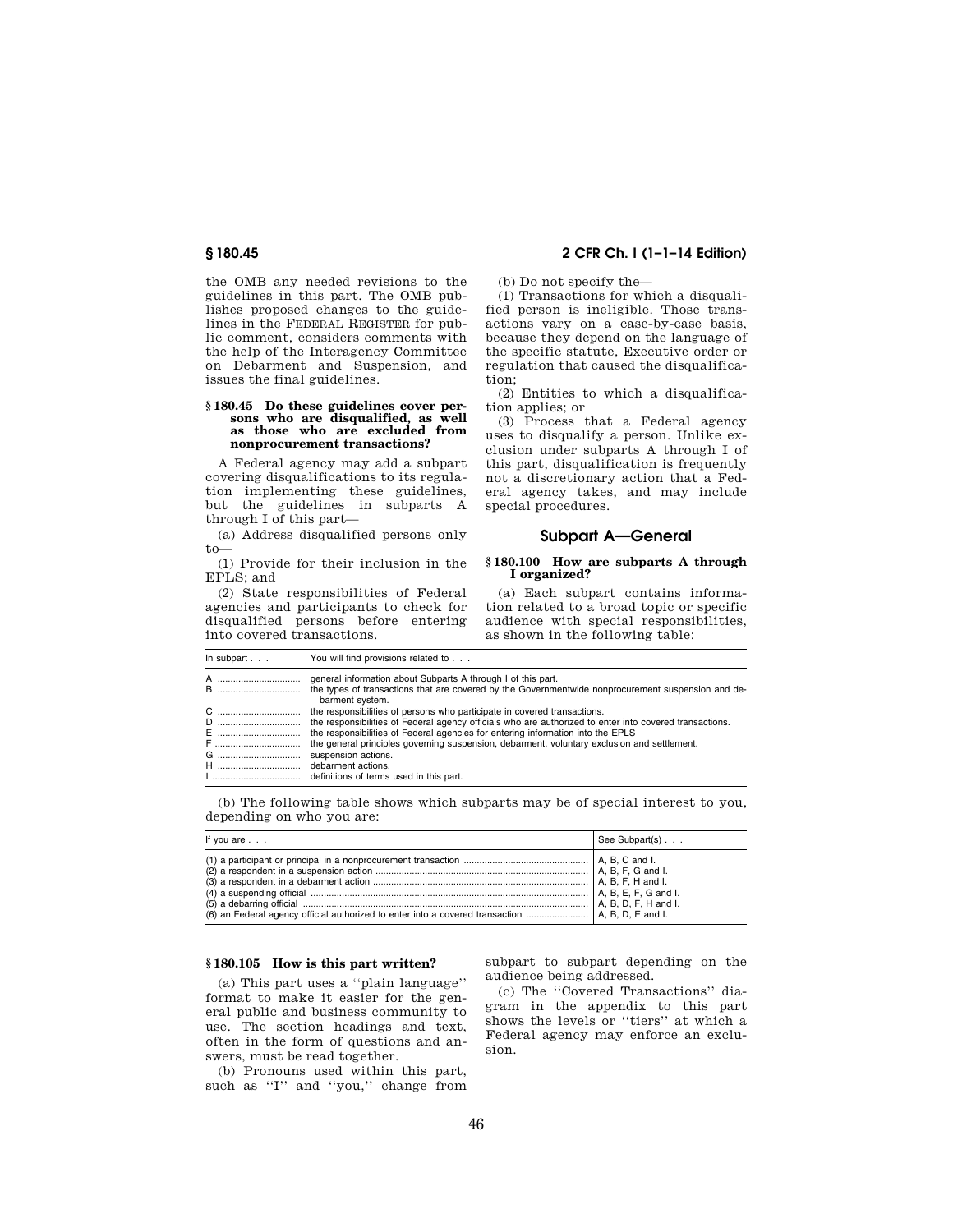the OMB any needed revisions to the guidelines in this part. The OMB publishes proposed changes to the guidelines in the FEDERAL REGISTER for public comment, considers comments with the help of the Interagency Committee on Debarment and Suspension, and issues the final guidelines.

#### **§ 180.45 Do these guidelines cover persons who are disqualified, as well as those who are excluded from nonprocurement transactions?**

A Federal agency may add a subpart covering disqualifications to its regulation implementing these guidelines, but the guidelines in subparts A through I of this part—

(a) Address disqualified persons only to—

(1) Provide for their inclusion in the EPLS; and

(2) State responsibilities of Federal agencies and participants to check for disqualified persons before entering into covered transactions.

# **§ 180.45 2 CFR Ch. I (1–1–14 Edition)**

(b) Do not specify the—

(1) Transactions for which a disqualified person is ineligible. Those transactions vary on a case-by-case basis, because they depend on the language of the specific statute, Executive order or regulation that caused the disqualification;

(2) Entities to which a disqualification applies; or

(3) Process that a Federal agency uses to disqualify a person. Unlike exclusion under subparts A through I of this part, disqualification is frequently not a discretionary action that a Federal agency takes, and may include special procedures.

# **Subpart A—General**

# **§ 180.100 How are subparts A through I organized?**

(a) Each subpart contains information related to a broad topic or specific audience with special responsibilities, as shown in the following table:

| In subpart $\ldots$     | You will find provisions related to                                                                                                                                                                                                                                                                                                                                                                                                                           |
|-------------------------|---------------------------------------------------------------------------------------------------------------------------------------------------------------------------------------------------------------------------------------------------------------------------------------------------------------------------------------------------------------------------------------------------------------------------------------------------------------|
| A<br><b>B</b>           | general information about Subparts A through I of this part.<br>the types of transactions that are covered by the Governmentwide nonprocurement suspension and de-<br>barment system.                                                                                                                                                                                                                                                                         |
| E ……………………………<br>F<br>G | the responsibilities of persons who participate in covered transactions.<br>the responsibilities of Federal agency officials who are authorized to enter into covered transactions.<br>the responsibilities of Federal agencies for entering information into the EPLS<br>the general principles governing suspension, debarment, voluntary exclusion and settlement.<br>suspension actions.<br>debarment actions.<br>definitions of terms used in this part. |

(b) The following table shows which subparts may be of special interest to you, depending on who you are:

| If you are | See Subpart(s) |
|------------|----------------|
|            |                |

#### **§ 180.105 How is this part written?**

(a) This part uses a ''plain language'' format to make it easier for the general public and business community to use. The section headings and text, often in the form of questions and answers, must be read together.

(b) Pronouns used within this part, such as ''I'' and ''you,'' change from subpart to subpart depending on the audience being addressed.

(c) The ''Covered Transactions'' diagram in the appendix to this part shows the levels or ''tiers'' at which a Federal agency may enforce an exclusion.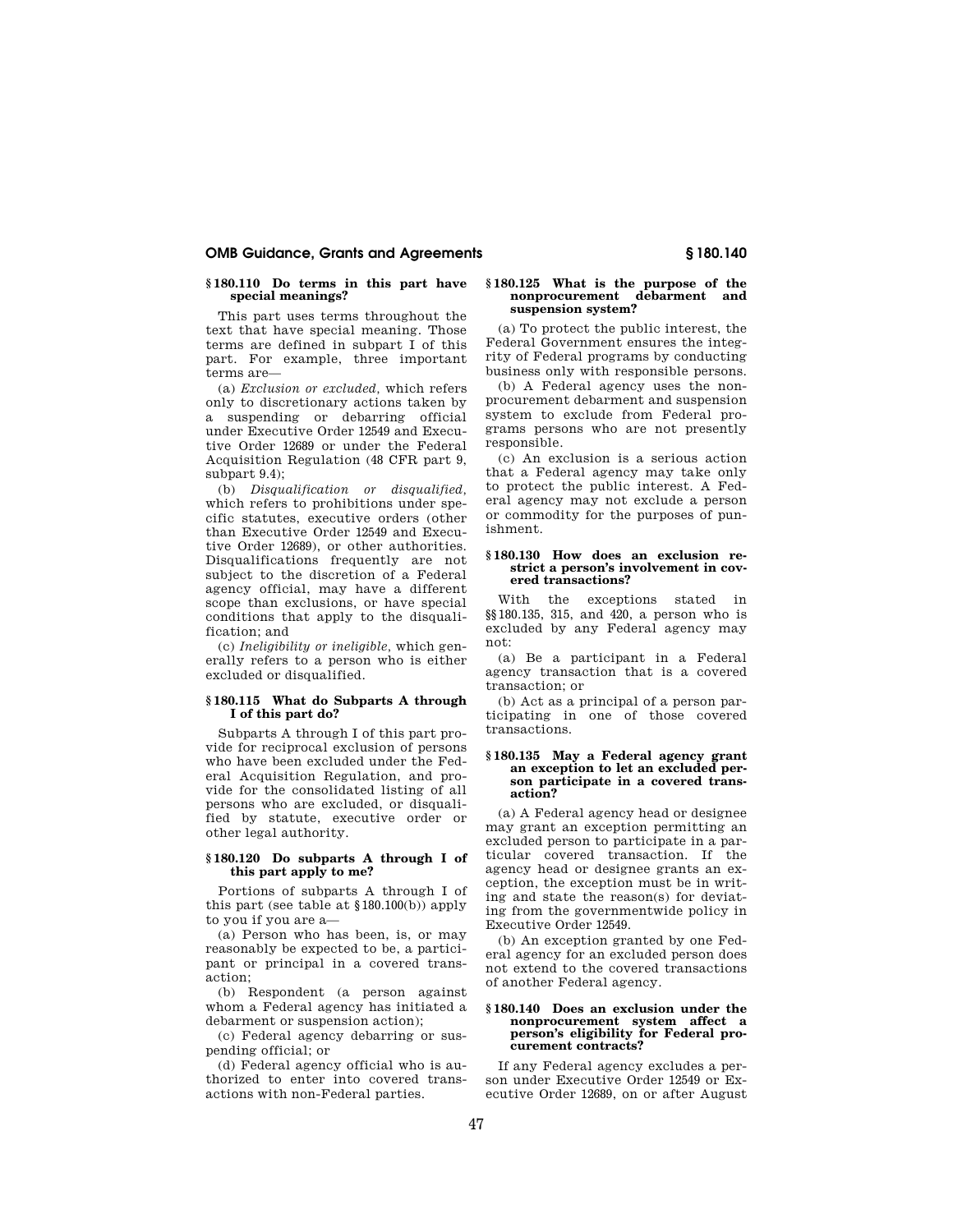# **§ 180.110 Do terms in this part have special meanings?**

This part uses terms throughout the text that have special meaning. Those terms are defined in subpart I of this part. For example, three important terms are—

(a) *Exclusion or excluded,* which refers only to discretionary actions taken by a suspending or debarring official under Executive Order 12549 and Executive Order 12689 or under the Federal Acquisition Regulation (48 CFR part 9, subpart 9.4);

(b) *Disqualification or disqualified,*  which refers to prohibitions under specific statutes, executive orders (other than Executive Order 12549 and Executive Order 12689), or other authorities. Disqualifications frequently are not subject to the discretion of a Federal agency official, may have a different scope than exclusions, or have special conditions that apply to the disqualification; and

(c) *Ineligibility or ineligible,* which generally refers to a person who is either excluded or disqualified.

#### **§ 180.115 What do Subparts A through I of this part do?**

Subparts A through I of this part provide for reciprocal exclusion of persons who have been excluded under the Federal Acquisition Regulation, and provide for the consolidated listing of all persons who are excluded, or disqualified by statute, executive order or other legal authority.

# **§ 180.120 Do subparts A through I of this part apply to me?**

Portions of subparts A through I of this part (see table at §180.100(b)) apply to you if you are a—

(a) Person who has been, is, or may reasonably be expected to be, a participant or principal in a covered transaction;

(b) Respondent (a person against whom a Federal agency has initiated a debarment or suspension action);

(c) Federal agency debarring or suspending official; or

(d) Federal agency official who is authorized to enter into covered transactions with non-Federal parties.

#### **§ 180.125 What is the purpose of the nonprocurement debarment and suspension system?**

(a) To protect the public interest, the Federal Government ensures the integrity of Federal programs by conducting business only with responsible persons.

(b) A Federal agency uses the nonprocurement debarment and suspension system to exclude from Federal programs persons who are not presently responsible.

(c) An exclusion is a serious action that a Federal agency may take only to protect the public interest. A Federal agency may not exclude a person or commodity for the purposes of punishment.

#### **§ 180.130 How does an exclusion restrict a person's involvement in covered transactions?**

With the exceptions stated in §§180.135, 315, and 420, a person who is excluded by any Federal agency may not:

(a) Be a participant in a Federal agency transaction that is a covered transaction; or

(b) Act as a principal of a person participating in one of those covered transactions.

#### **§ 180.135 May a Federal agency grant an exception to let an excluded person participate in a covered transaction?**

(a) A Federal agency head or designee may grant an exception permitting an excluded person to participate in a particular covered transaction. If the agency head or designee grants an exception, the exception must be in writing and state the reason(s) for deviating from the governmentwide policy in Executive Order 12549.

(b) An exception granted by one Federal agency for an excluded person does not extend to the covered transactions of another Federal agency.

#### **§ 180.140 Does an exclusion under the nonprocurement system affect a person's eligibility for Federal procurement contracts?**

If any Federal agency excludes a person under Executive Order 12549 or Executive Order 12689, on or after August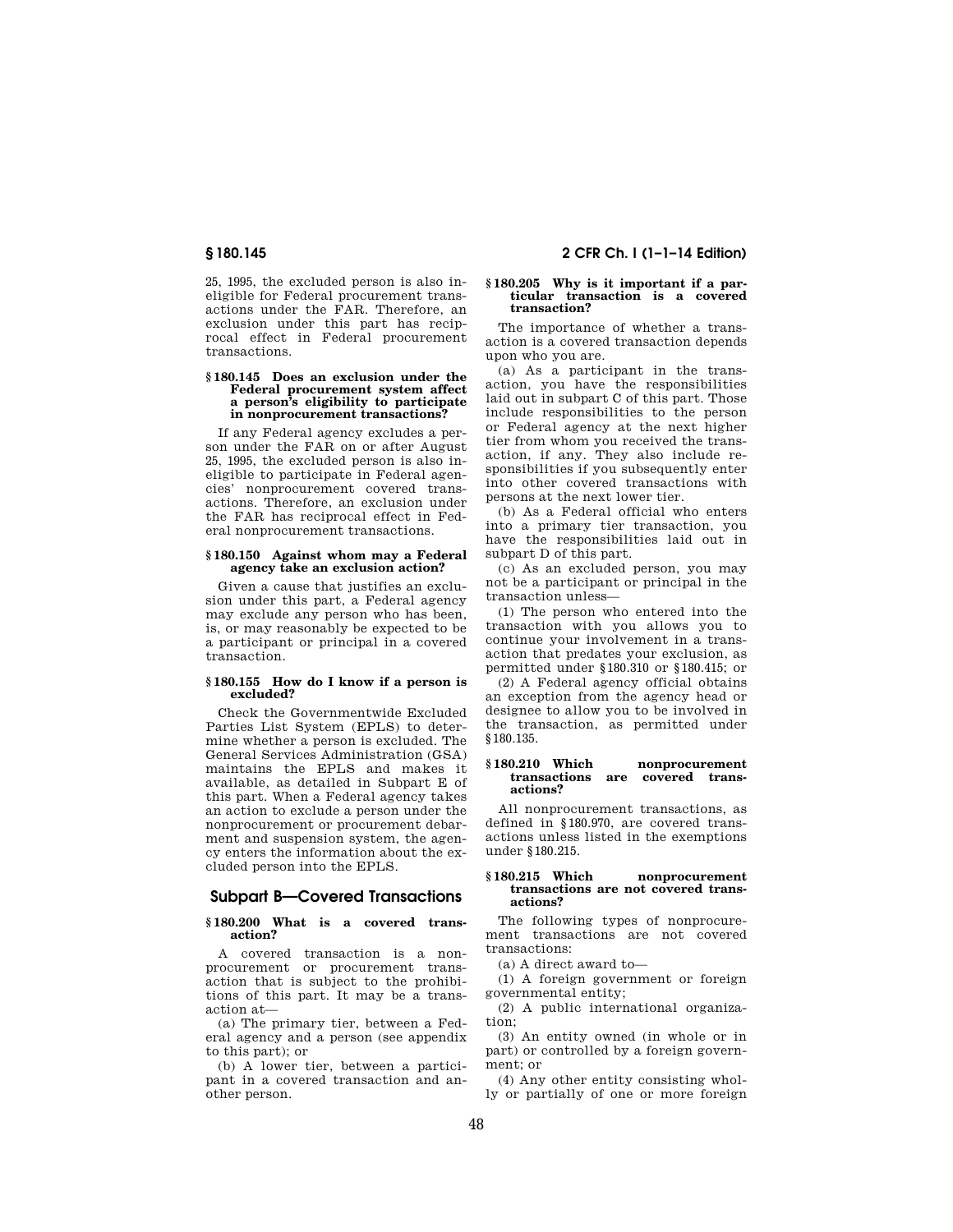25, 1995, the excluded person is also ineligible for Federal procurement transactions under the FAR. Therefore, an exclusion under this part has reciprocal effect in Federal procurement transactions.

#### **§ 180.145 Does an exclusion under the Federal procurement system affect a person's eligibility to participate in nonprocurement transactions?**

If any Federal agency excludes a person under the FAR on or after August 25, 1995, the excluded person is also ineligible to participate in Federal agencies' nonprocurement covered transactions. Therefore, an exclusion under the FAR has reciprocal effect in Federal nonprocurement transactions.

#### **§ 180.150 Against whom may a Federal agency take an exclusion action?**

Given a cause that justifies an exclusion under this part, a Federal agency may exclude any person who has been, is, or may reasonably be expected to be a participant or principal in a covered transaction.

### **§ 180.155 How do I know if a person is excluded?**

Check the Governmentwide Excluded Parties List System (EPLS) to determine whether a person is excluded. The General Services Administration (GSA) maintains the EPLS and makes it available, as detailed in Subpart E of this part. When a Federal agency takes an action to exclude a person under the nonprocurement or procurement debarment and suspension system, the agency enters the information about the excluded person into the EPLS.

# **Subpart B—Covered Transactions**

#### **§ 180.200 What is a covered transaction?**

A covered transaction is a nonprocurement or procurement transaction that is subject to the prohibitions of this part. It may be a transaction at—

(a) The primary tier, between a Federal agency and a person (see appendix to this part); or

(b) A lower tier, between a participant in a covered transaction and another person.

# **§ 180.145 2 CFR Ch. I (1–1–14 Edition)**

#### **§ 180.205 Why is it important if a particular transaction is a covered transaction?**

The importance of whether a transaction is a covered transaction depends upon who you are.

(a) As a participant in the transaction, you have the responsibilities laid out in subpart C of this part. Those include responsibilities to the person or Federal agency at the next higher tier from whom you received the transaction, if any. They also include responsibilities if you subsequently enter into other covered transactions with persons at the next lower tier.

(b) As a Federal official who enters into a primary tier transaction, you have the responsibilities laid out in subpart D of this part.

(c) As an excluded person, you may not be a participant or principal in the transaction unless—

(1) The person who entered into the transaction with you allows you to continue your involvement in a transaction that predates your exclusion, as permitted under §180.310 or §180.415; or

(2) A Federal agency official obtains an exception from the agency head or designee to allow you to be involved in the transaction, as permitted under §180.135.

#### **§ 180.210 Which nonprocurement transactions are covered transactions?**

All nonprocurement transactions, as defined in §180.970, are covered transactions unless listed in the exemptions under §180.215.

#### **§ 180.215 Which nonprocurement transactions are not covered transactions?**

The following types of nonprocurement transactions are not covered transactions:

(a) A direct award to—

(1) A foreign government or foreign governmental entity;

(2) A public international organization;

(3) An entity owned (in whole or in part) or controlled by a foreign government; or

(4) Any other entity consisting wholly or partially of one or more foreign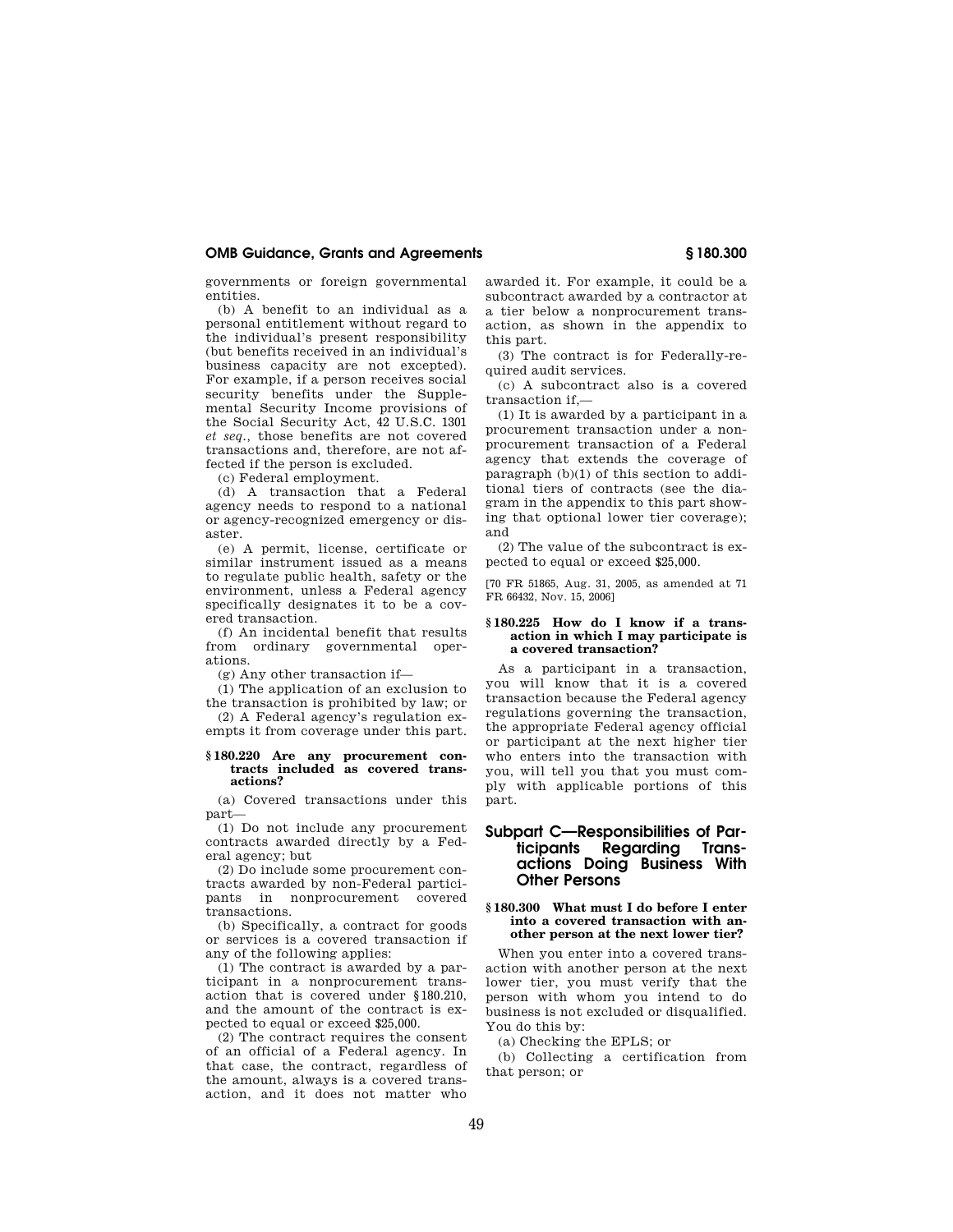governments or foreign governmental entities.

(b) A benefit to an individual as a personal entitlement without regard to the individual's present responsibility (but benefits received in an individual's business capacity are not excepted). For example, if a person receives social security benefits under the Supplemental Security Income provisions of the Social Security Act, 42 U.S.C. 1301 *et seq.,* those benefits are not covered transactions and, therefore, are not affected if the person is excluded.

(c) Federal employment.

(d) A transaction that a Federal agency needs to respond to a national or agency-recognized emergency or disaster.

(e) A permit, license, certificate or similar instrument issued as a means to regulate public health, safety or the environment, unless a Federal agency specifically designates it to be a covered transaction.

(f) An incidental benefit that results from ordinary governmental operations.

(g) Any other transaction if—

(1) The application of an exclusion to the transaction is prohibited by law; or

(2) A Federal agency's regulation exempts it from coverage under this part.

#### **§ 180.220 Are any procurement contracts included as covered transactions?**

(a) Covered transactions under this part—

(1) Do not include any procurement contracts awarded directly by a Federal agency; but

(2) Do include some procurement contracts awarded by non-Federal participants in nonprocurement covered transactions.

(b) Specifically, a contract for goods or services is a covered transaction if any of the following applies:

(1) The contract is awarded by a participant in a nonprocurement transaction that is covered under §180.210, and the amount of the contract is expected to equal or exceed \$25,000.

(2) The contract requires the consent of an official of a Federal agency. In that case, the contract, regardless of the amount, always is a covered transaction, and it does not matter who

awarded it. For example, it could be a subcontract awarded by a contractor at a tier below a nonprocurement transaction, as shown in the appendix to this part.

(3) The contract is for Federally-required audit services.

(c) A subcontract also is a covered  $transaction$  if $=$ 

(1) It is awarded by a participant in a procurement transaction under a nonprocurement transaction of a Federal agency that extends the coverage of paragraph (b)(1) of this section to additional tiers of contracts (see the diagram in the appendix to this part showing that optional lower tier coverage); and

(2) The value of the subcontract is expected to equal or exceed \$25,000.

[70 FR 51865, Aug. 31, 2005, as amended at 71 FR 66432, Nov. 15, 2006]

#### **§ 180.225 How do I know if a transaction in which I may participate is a covered transaction?**

As a participant in a transaction, you will know that it is a covered transaction because the Federal agency regulations governing the transaction, the appropriate Federal agency official or participant at the next higher tier who enters into the transaction with you, will tell you that you must comply with applicable portions of this part.

# **Subpart C—Responsibilities of Par-Regarding Transactions Doing Business With Other Persons**

#### **§ 180.300 What must I do before I enter into a covered transaction with another person at the next lower tier?**

When you enter into a covered transaction with another person at the next lower tier, you must verify that the person with whom you intend to do business is not excluded or disqualified. You do this by:

(a) Checking the EPLS; or

(b) Collecting a certification from that person; or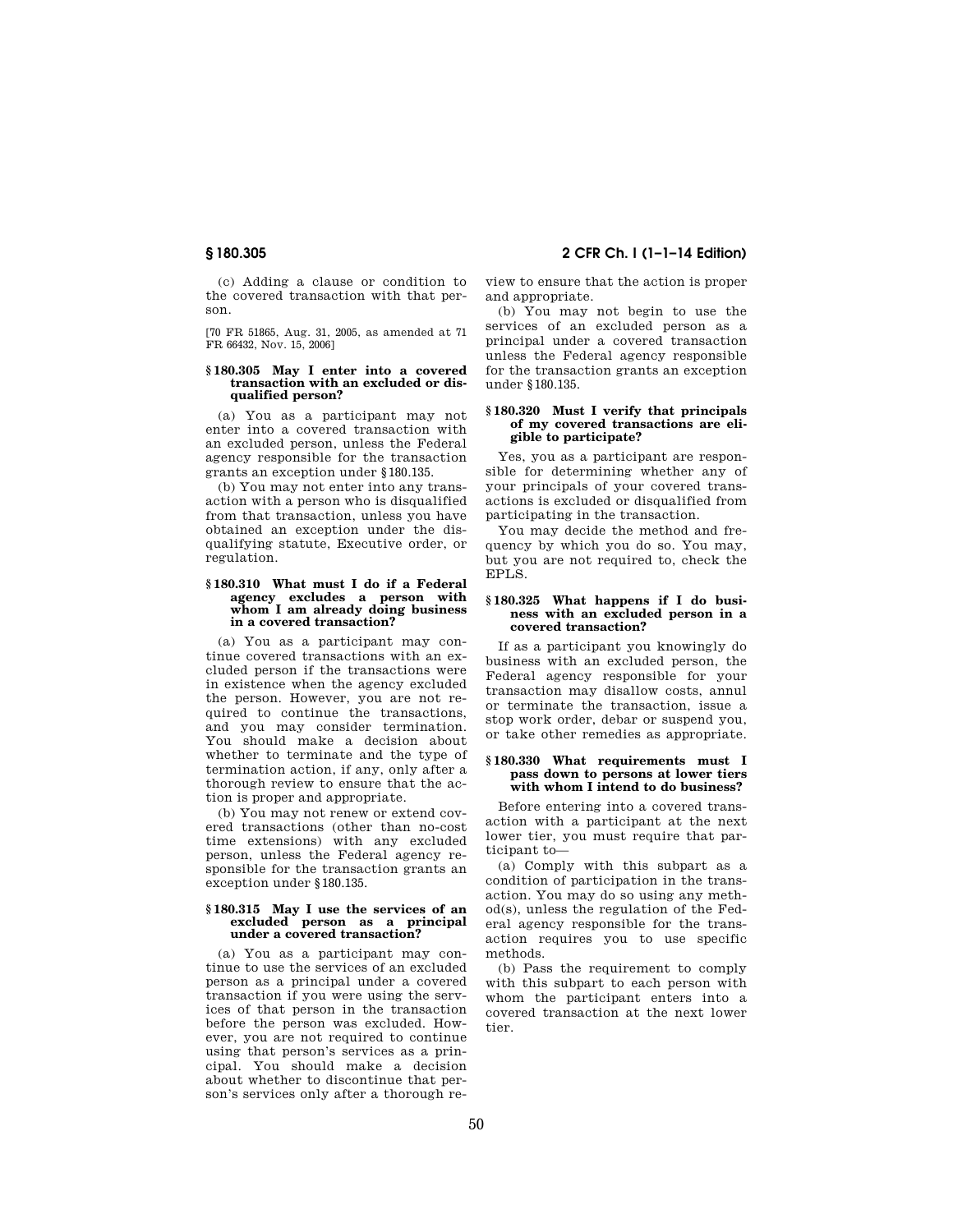(c) Adding a clause or condition to the covered transaction with that person.

[70 FR 51865, Aug. 31, 2005, as amended at 71 FR 66432, Nov. 15, 2006]

#### **§ 180.305 May I enter into a covered transaction with an excluded or disqualified person?**

(a) You as a participant may not enter into a covered transaction with an excluded person, unless the Federal agency responsible for the transaction grants an exception under §180.135.

(b) You may not enter into any transaction with a person who is disqualified from that transaction, unless you have obtained an exception under the disqualifying statute, Executive order, or regulation.

#### **§ 180.310 What must I do if a Federal agency excludes a person with whom I am already doing business in a covered transaction?**

(a) You as a participant may continue covered transactions with an excluded person if the transactions were in existence when the agency excluded the person. However, you are not required to continue the transactions, and you may consider termination. You should make a decision about whether to terminate and the type of termination action, if any, only after a thorough review to ensure that the action is proper and appropriate.

(b) You may not renew or extend covered transactions (other than no-cost time extensions) with any excluded person, unless the Federal agency responsible for the transaction grants an exception under §180.135.

#### **§ 180.315 May I use the services of an excluded person as a principal under a covered transaction?**

(a) You as a participant may continue to use the services of an excluded person as a principal under a covered transaction if you were using the services of that person in the transaction before the person was excluded. However, you are not required to continue using that person's services as a principal. You should make a decision about whether to discontinue that person's services only after a thorough re-

**§ 180.305 2 CFR Ch. I (1–1–14 Edition)** 

view to ensure that the action is proper and appropriate.

(b) You may not begin to use the services of an excluded person as a principal under a covered transaction unless the Federal agency responsible for the transaction grants an exception under §180.135.

#### **§ 180.320 Must I verify that principals of my covered transactions are eligible to participate?**

Yes, you as a participant are responsible for determining whether any of your principals of your covered transactions is excluded or disqualified from participating in the transaction.

You may decide the method and frequency by which you do so. You may, but you are not required to, check the EPLS.

#### **§ 180.325 What happens if I do business with an excluded person in a covered transaction?**

If as a participant you knowingly do business with an excluded person, the Federal agency responsible for your transaction may disallow costs, annul or terminate the transaction, issue a stop work order, debar or suspend you, or take other remedies as appropriate.

#### **§ 180.330 What requirements must I pass down to persons at lower tiers with whom I intend to do business?**

Before entering into a covered transaction with a participant at the next lower tier, you must require that participant to—

(a) Comply with this subpart as a condition of participation in the transaction. You may do so using any method(s), unless the regulation of the Federal agency responsible for the transaction requires you to use specific methods.

(b) Pass the requirement to comply with this subpart to each person with whom the participant enters into a covered transaction at the next lower tier.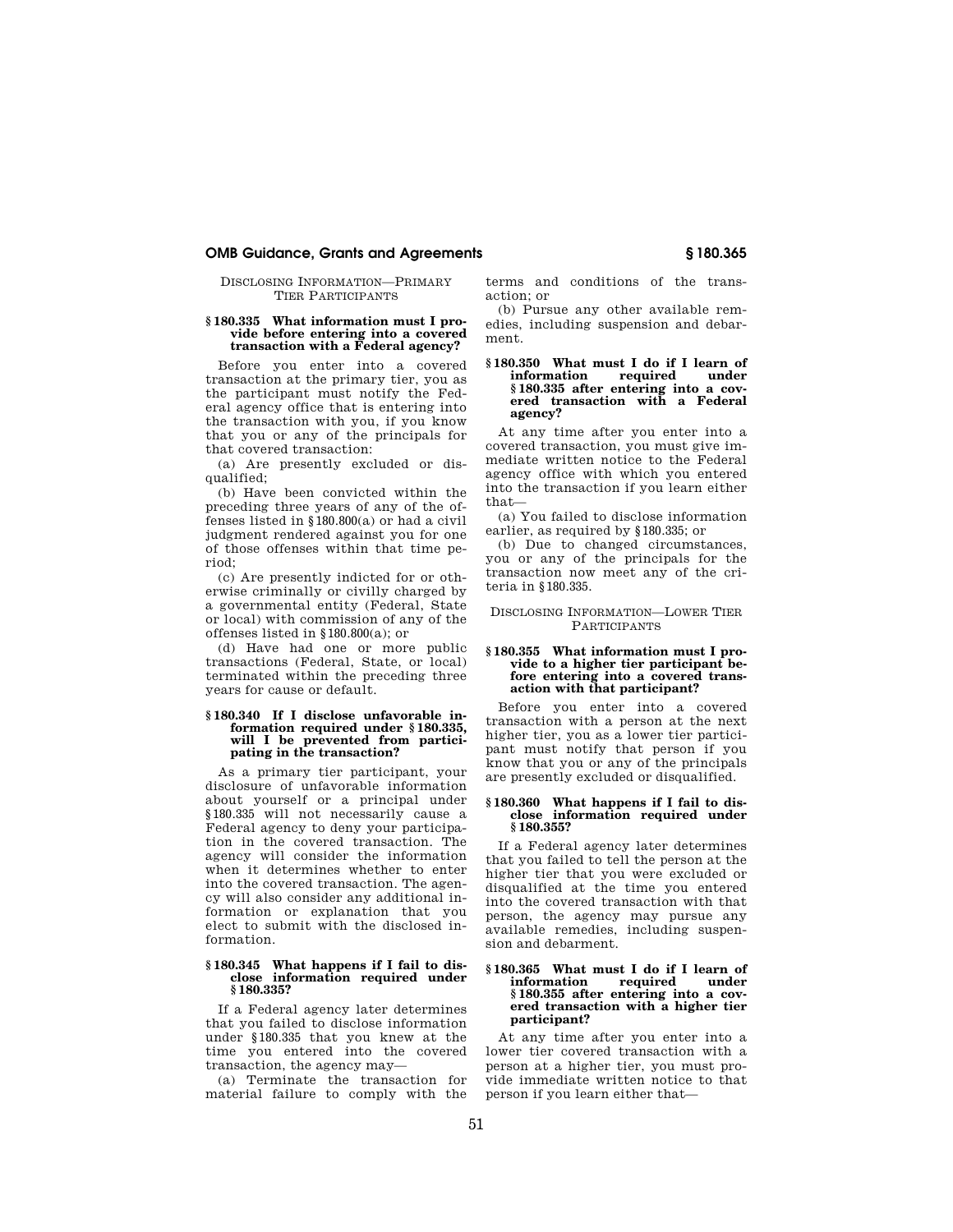#### DISCLOSING INFORMATION—PRIMARY TIER PARTICIPANTS

#### **§ 180.335 What information must I provide before entering into a covered transaction with a Federal agency?**

Before you enter into a covered transaction at the primary tier, you as the participant must notify the Federal agency office that is entering into the transaction with you, if you know that you or any of the principals for that covered transaction:

(a) Are presently excluded or disqualified;

(b) Have been convicted within the preceding three years of any of the offenses listed in §180.800(a) or had a civil judgment rendered against you for one of those offenses within that time period;

(c) Are presently indicted for or otherwise criminally or civilly charged by a governmental entity (Federal, State or local) with commission of any of the offenses listed in §180.800(a); or

(d) Have had one or more public transactions (Federal, State, or local) terminated within the preceding three years for cause or default.

#### **§ 180.340 If I disclose unfavorable information required under § 180.335, will I be prevented from participating in the transaction?**

As a primary tier participant, your disclosure of unfavorable information about yourself or a principal under §180.335 will not necessarily cause a Federal agency to deny your participation in the covered transaction. The agency will consider the information when it determines whether to enter into the covered transaction. The agency will also consider any additional information or explanation that you elect to submit with the disclosed information.

#### **§ 180.345 What happens if I fail to disclose information required under § 180.335?**

If a Federal agency later determines that you failed to disclose information under §180.335 that you knew at the time you entered into the covered transaction, the agency may—

(a) Terminate the transaction for material failure to comply with the terms and conditions of the transaction; or

(b) Pursue any other available remedies, including suspension and debarment.

#### **§ 180.350 What must I do if I learn of**   $\bf{required}$ **§ 180.335 after entering into a covered transaction with a Federal agency?**

At any time after you enter into a covered transaction, you must give immediate written notice to the Federal agency office with which you entered into the transaction if you learn either that—

(a) You failed to disclose information earlier, as required by §180.335; or

(b) Due to changed circumstances, you or any of the principals for the transaction now meet any of the criteria in §180.335.

#### DISCLOSING INFORMATION—LOWER TIER PARTICIPANTS

#### **§ 180.355 What information must I provide to a higher tier participant before entering into a covered transaction with that participant?**

Before you enter into a covered transaction with a person at the next higher tier, you as a lower tier participant must notify that person if you know that you or any of the principals are presently excluded or disqualified.

#### **§ 180.360 What happens if I fail to disclose information required under § 180.355?**

If a Federal agency later determines that you failed to tell the person at the higher tier that you were excluded or disqualified at the time you entered into the covered transaction with that person, the agency may pursue any available remedies, including suspension and debarment.

#### **§ 180.365 What must I do if I learn of information required under § 180.355 after entering into a covered transaction with a higher tier participant?**

At any time after you enter into a lower tier covered transaction with a person at a higher tier, you must provide immediate written notice to that person if you learn either that—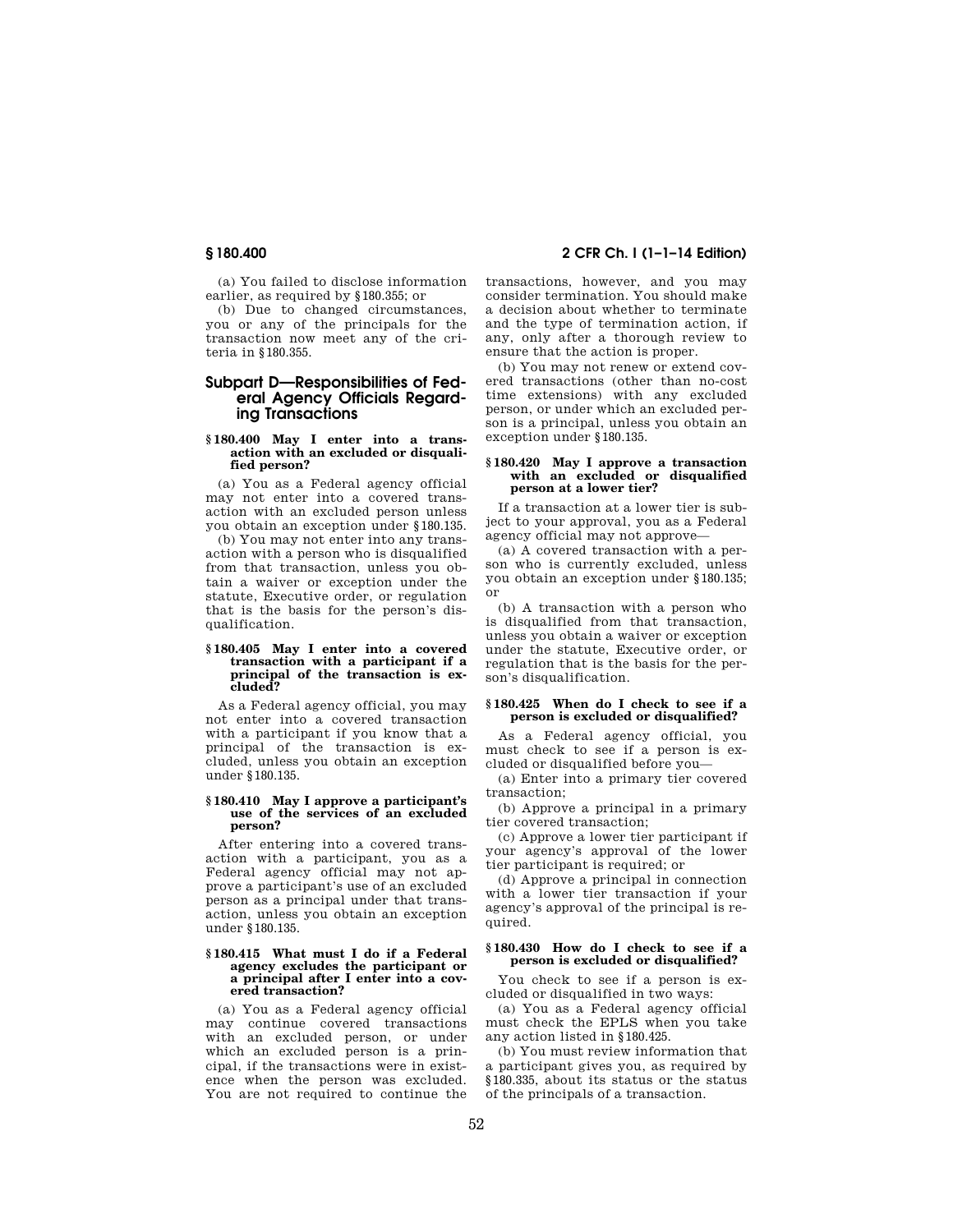(a) You failed to disclose information earlier, as required by §180.355; or

(b) Due to changed circumstances, you or any of the principals for the transaction now meet any of the criteria in §180.355.

# **Subpart D—Responsibilities of Federal Agency Officials Regarding Transactions**

#### **§ 180.400 May I enter into a transaction with an excluded or disqualified person?**

(a) You as a Federal agency official may not enter into a covered transaction with an excluded person unless you obtain an exception under §180.135.

(b) You may not enter into any transaction with a person who is disqualified from that transaction, unless you obtain a waiver or exception under the statute, Executive order, or regulation that is the basis for the person's disqualification.

#### **§ 180.405 May I enter into a covered transaction with a participant if a principal of the transaction is excluded?**

As a Federal agency official, you may not enter into a covered transaction with a participant if you know that a principal of the transaction is excluded, unless you obtain an exception under §180.135.

#### **§ 180.410 May I approve a participant's use of the services of an excluded person?**

After entering into a covered transaction with a participant, you as a Federal agency official may not approve a participant's use of an excluded person as a principal under that transaction, unless you obtain an exception under §180.135.

#### **§ 180.415 What must I do if a Federal agency excludes the participant or a principal after I enter into a covered transaction?**

(a) You as a Federal agency official may continue covered transactions with an excluded person, or under which an excluded person is a principal, if the transactions were in existence when the person was excluded. You are not required to continue the

# **§ 180.400 2 CFR Ch. I (1–1–14 Edition)**

transactions, however, and you may consider termination. You should make a decision about whether to terminate and the type of termination action, if any, only after a thorough review to ensure that the action is proper.

(b) You may not renew or extend covered transactions (other than no-cost time extensions) with any excluded person, or under which an excluded person is a principal, unless you obtain an exception under §180.135.

#### **§ 180.420 May I approve a transaction with an excluded or disqualified person at a lower tier?**

If a transaction at a lower tier is subject to your approval, you as a Federal agency official may not approve—

(a) A covered transaction with a person who is currently excluded, unless you obtain an exception under §180.135; or

(b) A transaction with a person who is disqualified from that transaction, unless you obtain a waiver or exception under the statute, Executive order, or regulation that is the basis for the person's disqualification.

#### **§ 180.425 When do I check to see if a person is excluded or disqualified?**

As a Federal agency official, you must check to see if a person is excluded or disqualified before you—

(a) Enter into a primary tier covered transaction;

(b) Approve a principal in a primary tier covered transaction;

(c) Approve a lower tier participant if your agency's approval of the lower tier participant is required; or

(d) Approve a principal in connection with a lower tier transaction if your agency's approval of the principal is required.

#### **§ 180.430 How do I check to see if a person is excluded or disqualified?**

You check to see if a person is excluded or disqualified in two ways:

(a) You as a Federal agency official must check the EPLS when you take any action listed in §180.425.

(b) You must review information that a participant gives you, as required by §180.335, about its status or the status of the principals of a transaction.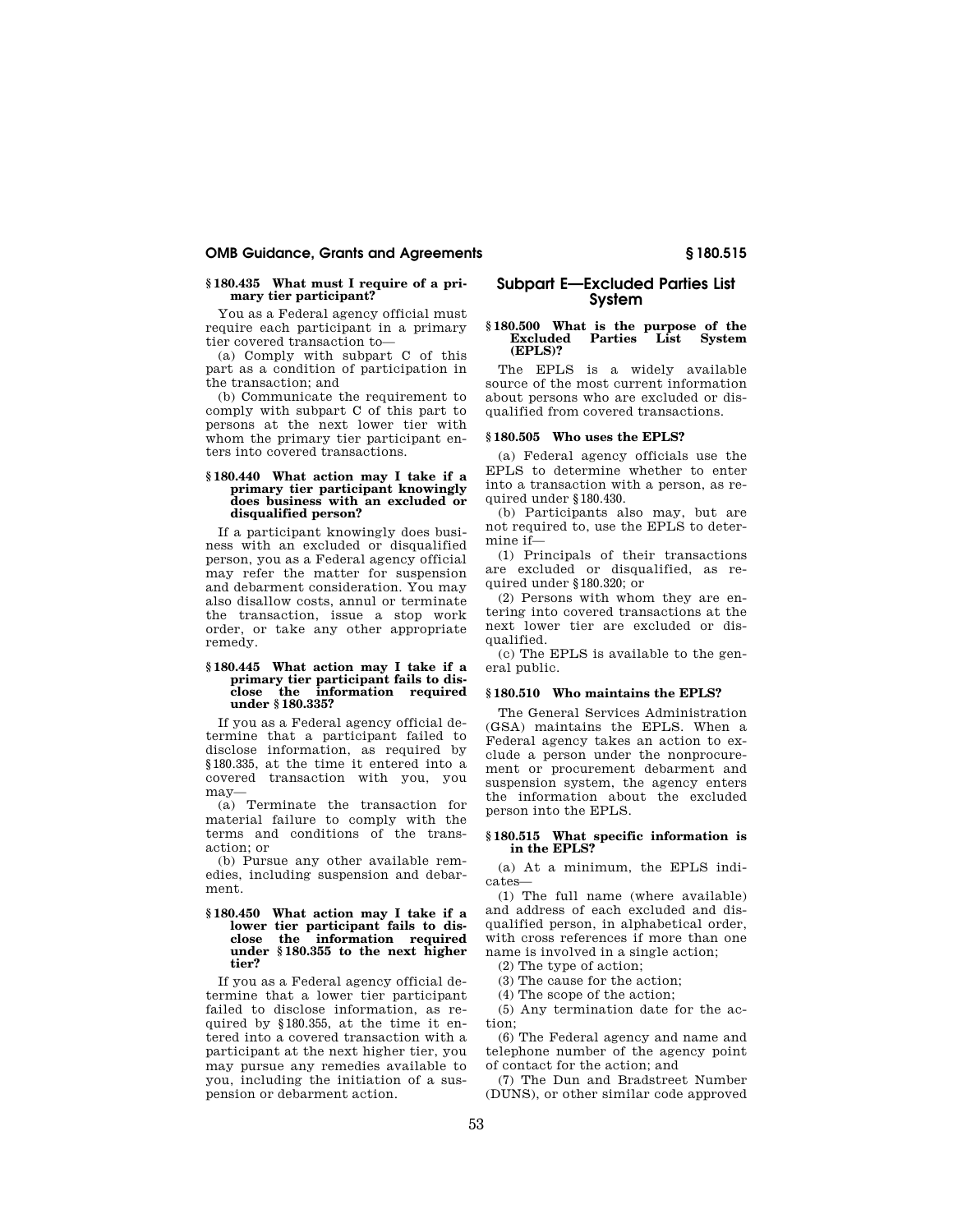### **§ 180.435 What must I require of a primary tier participant?**

You as a Federal agency official must require each participant in a primary tier covered transaction to—

(a) Comply with subpart C of this part as a condition of participation in the transaction; and

(b) Communicate the requirement to comply with subpart C of this part to persons at the next lower tier with whom the primary tier participant enters into covered transactions.

#### **§ 180.440 What action may I take if a primary tier participant knowingly does business with an excluded or disqualified person?**

If a participant knowingly does business with an excluded or disqualified person, you as a Federal agency official may refer the matter for suspension and debarment consideration. You may also disallow costs, annul or terminate the transaction, issue a stop work order, or take any other appropriate remedy.

#### **§ 180.445 What action may I take if a primary tier participant fails to disclose the information required under § 180.335?**

If you as a Federal agency official determine that a participant failed to disclose information, as required by §180.335, at the time it entered into a covered transaction with you, you may—

(a) Terminate the transaction for material failure to comply with the terms and conditions of the transaction; or

(b) Pursue any other available remedies, including suspension and debarment.

#### **§ 180.450 What action may I take if a lower tier participant fails to dis**information required **under § 180.355 to the next higher tier?**

If you as a Federal agency official determine that a lower tier participant failed to disclose information, as required by §180.355, at the time it entered into a covered transaction with a participant at the next higher tier, you may pursue any remedies available to you, including the initiation of a suspension or debarment action.

# **Subpart E—Excluded Parties List System**

#### **§ 180.500 What is the purpose of the Excluded Parties (EPLS)?**

The EPLS is a widely available source of the most current information about persons who are excluded or disqualified from covered transactions.

#### **§ 180.505 Who uses the EPLS?**

(a) Federal agency officials use the EPLS to determine whether to enter into a transaction with a person, as required under §180.430.

(b) Participants also may, but are not required to, use the EPLS to determine if—

(1) Principals of their transactions are excluded or disqualified, as required under §180.320; or

(2) Persons with whom they are entering into covered transactions at the next lower tier are excluded or disqualified.

(c) The EPLS is available to the general public.

#### **§ 180.510 Who maintains the EPLS?**

The General Services Administration (GSA) maintains the EPLS. When a Federal agency takes an action to exclude a person under the nonprocurement or procurement debarment and suspension system, the agency enters the information about the excluded person into the EPLS.

# **§ 180.515 What specific information is in the EPLS?**

(a) At a minimum, the EPLS indicates—

(1) The full name (where available) and address of each excluded and disqualified person, in alphabetical order, with cross references if more than one name is involved in a single action;

(2) The type of action;

(3) The cause for the action;

(4) The scope of the action;

(5) Any termination date for the action;

(6) The Federal agency and name and telephone number of the agency point of contact for the action; and

(7) The Dun and Bradstreet Number (DUNS), or other similar code approved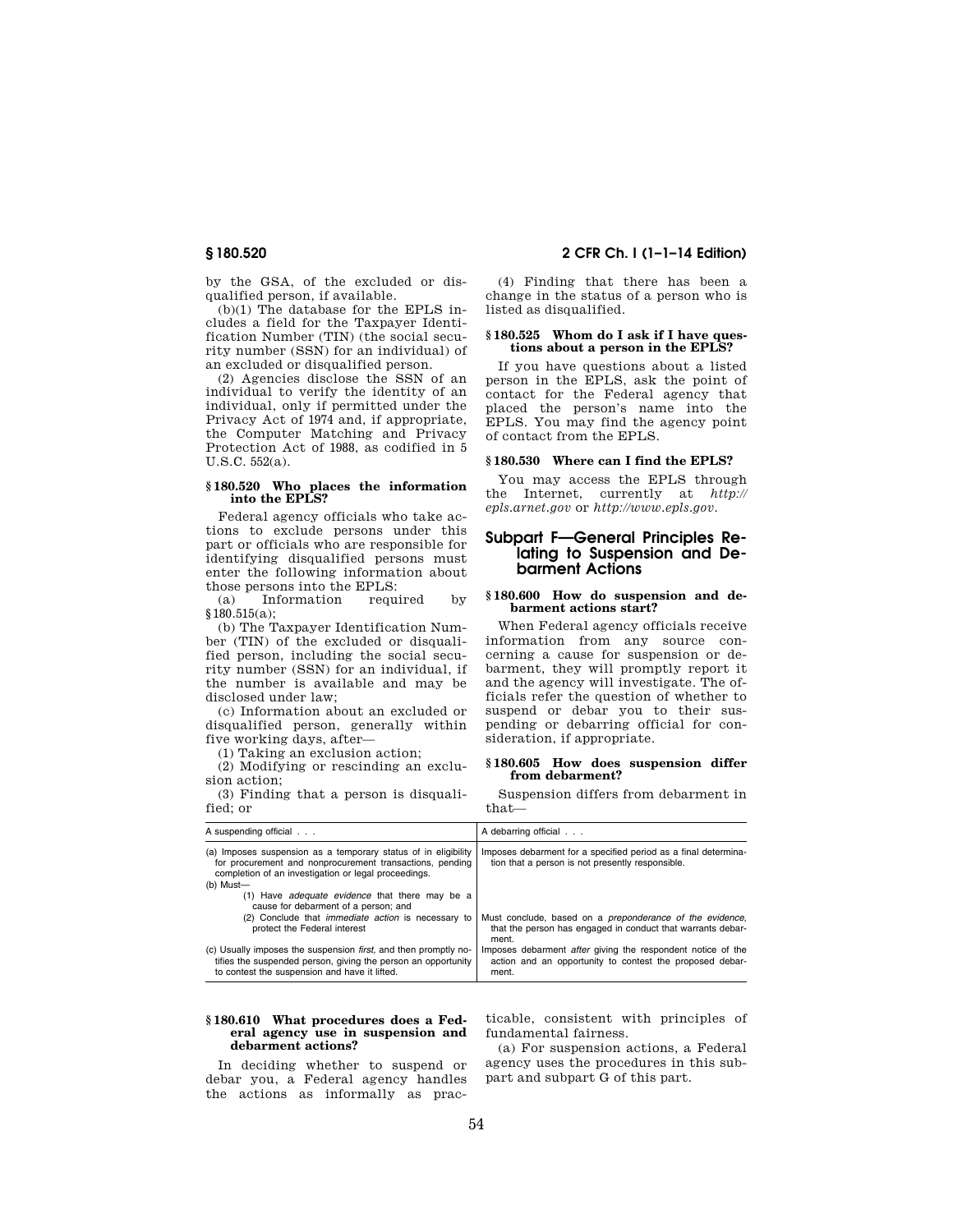by the GSA, of the excluded or disqualified person, if available.

(b)(1) The database for the EPLS includes a field for the Taxpayer Identification Number (TIN) (the social security number (SSN) for an individual) of an excluded or disqualified person.

(2) Agencies disclose the SSN of an individual to verify the identity of an individual, only if permitted under the Privacy Act of 1974 and, if appropriate, the Computer Matching and Privacy Protection Act of 1988, as codified in 5 U.S.C. 552(a).

# **§ 180.520 Who places the information into the EPLS?**

Federal agency officials who take actions to exclude persons under this part or officials who are responsible for identifying disqualified persons must enter the following information about those persons into the EPLS:<br>(a) Information required

Information required by §180.515(a);

(b) The Taxpayer Identification Number (TIN) of the excluded or disqualified person, including the social security number (SSN) for an individual, if the number is available and may be disclosed under law;

(c) Information about an excluded or disqualified person, generally within five working days, after—

(1) Taking an exclusion action;

(2) Modifying or rescinding an exclusion action;

(3) Finding that a person is disqualified; or

# **§ 180.520 2 CFR Ch. I (1–1–14 Edition)**

(4) Finding that there has been a change in the status of a person who is listed as disqualified.

#### **§ 180.525 Whom do I ask if I have questions about a person in the EPLS?**

If you have questions about a listed person in the EPLS, ask the point of contact for the Federal agency that placed the person's name into the EPLS. You may find the agency point of contact from the EPLS.

# **§ 180.530 Where can I find the EPLS?**

You may access the EPLS through the Internet, currently at *http:// epls.arnet.gov* or *http://www.epls.gov.* 

# **Subpart F—General Principles Relating to Suspension and Debarment Actions**

# **§ 180.600 How do suspension and debarment actions start?**

When Federal agency officials receive information from any source concerning a cause for suspension or debarment, they will promptly report it and the agency will investigate. The officials refer the question of whether to suspend or debar you to their suspending or debarring official for consideration, if appropriate.

#### **§ 180.605 How does suspension differ from debarment?**

Suspension differs from debarment in that—

| A suspending official                                                                                                                                                                           | A debarring official                                                                                                                    |  |  |
|-------------------------------------------------------------------------------------------------------------------------------------------------------------------------------------------------|-----------------------------------------------------------------------------------------------------------------------------------------|--|--|
| (a) Imposes suspension as a temporary status of in eligibility<br>for procurement and nonprocurement transactions, pending<br>completion of an investigation or legal proceedings.<br>(b) Must- | Imposes debarment for a specified period as a final determina-<br>tion that a person is not presently responsible.                      |  |  |
| (1) Have adequate evidence that there may be a<br>cause for debarment of a person; and<br>(2) Conclude that <i>immediate action</i> is necessary to<br>protect the Federal interest             | Must conclude, based on a preponderance of the evidence,<br>that the person has engaged in conduct that warrants debar-<br>ment.        |  |  |
| (c) Usually imposes the suspension first, and then promptly no-<br>tifies the suspended person, giving the person an opportunity<br>to contest the suspension and have it lifted.               | Imposes debarment <i>after</i> giving the respondent notice of the<br>action and an opportunity to contest the proposed debar-<br>ment. |  |  |

# **§ 180.610 What procedures does a Federal agency use in suspension and debarment actions?**

In deciding whether to suspend or debar you, a Federal agency handles the actions as informally as prac-

ticable, consistent with principles of fundamental fairness.

(a) For suspension actions, a Federal agency uses the procedures in this subpart and subpart G of this part.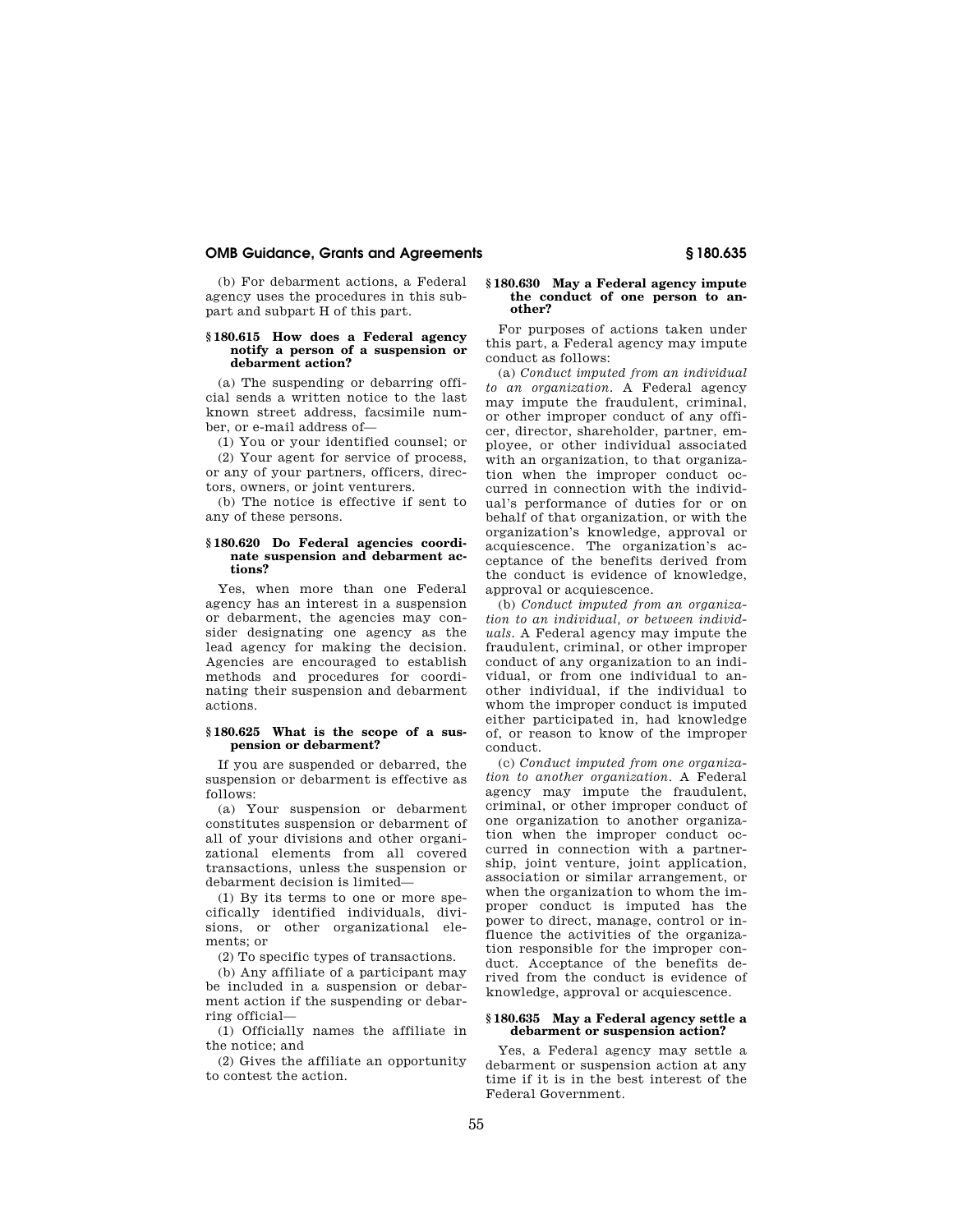(b) For debarment actions, a Federal agency uses the procedures in this subpart and subpart H of this part.

#### **§ 180.615 How does a Federal agency notify a person of a suspension or debarment action?**

(a) The suspending or debarring official sends a written notice to the last known street address, facsimile number, or e-mail address of—

(1) You or your identified counsel; or

(2) Your agent for service of process, or any of your partners, officers, directors, owners, or joint venturers.

(b) The notice is effective if sent to any of these persons.

#### **§ 180.620 Do Federal agencies coordinate suspension and debarment actions?**

Yes, when more than one Federal agency has an interest in a suspension or debarment, the agencies may consider designating one agency as the lead agency for making the decision. Agencies are encouraged to establish methods and procedures for coordinating their suspension and debarment actions.

# **§ 180.625 What is the scope of a suspension or debarment?**

If you are suspended or debarred, the suspension or debarment is effective as follows:

(a) Your suspension or debarment constitutes suspension or debarment of all of your divisions and other organizational elements from all covered transactions, unless the suspension or debarment decision is limited—

(1) By its terms to one or more specifically identified individuals, divisions, or other organizational elements; or

(2) To specific types of transactions.

(b) Any affiliate of a participant may be included in a suspension or debarment action if the suspending or debarring official—

(1) Officially names the affiliate in the notice; and

(2) Gives the affiliate an opportunity to contest the action.

#### **§ 180.630 May a Federal agency impute the conduct of one person to another?**

For purposes of actions taken under this part, a Federal agency may impute conduct as follows:

(a) *Conduct imputed from an individual to an organization.* A Federal agency may impute the fraudulent, criminal, or other improper conduct of any officer, director, shareholder, partner, employee, or other individual associated with an organization, to that organization when the improper conduct occurred in connection with the individual's performance of duties for or on behalf of that organization, or with the organization's knowledge, approval or acquiescence. The organization's acceptance of the benefits derived from the conduct is evidence of knowledge, approval or acquiescence.

(b) *Conduct imputed from an organization to an individual, or between individuals.* A Federal agency may impute the fraudulent, criminal, or other improper conduct of any organization to an individual, or from one individual to another individual, if the individual to whom the improper conduct is imputed either participated in, had knowledge of, or reason to know of the improper conduct.

(c) *Conduct imputed from one organization to another organization.* A Federal agency may impute the fraudulent, criminal, or other improper conduct of one organization to another organization when the improper conduct occurred in connection with a partnership, joint venture, joint application, association or similar arrangement, or when the organization to whom the improper conduct is imputed has the power to direct, manage, control or influence the activities of the organization responsible for the improper conduct. Acceptance of the benefits derived from the conduct is evidence of knowledge, approval or acquiescence.

#### **§ 180.635 May a Federal agency settle a debarment or suspension action?**

Yes, a Federal agency may settle a debarment or suspension action at any time if it is in the best interest of the Federal Government.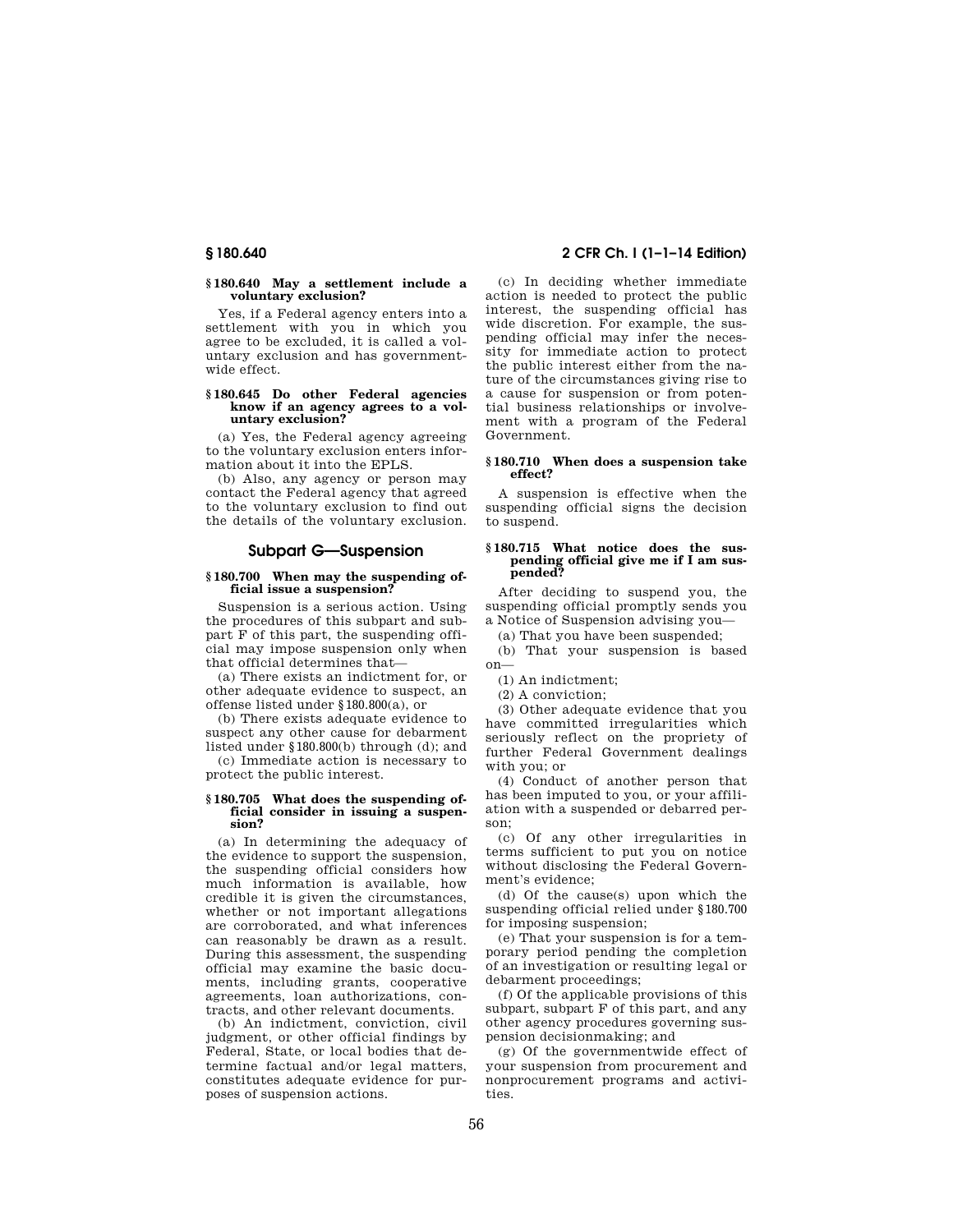#### **§ 180.640 May a settlement include a voluntary exclusion?**

Yes, if a Federal agency enters into a settlement with you in which you agree to be excluded, it is called a voluntary exclusion and has governmentwide effect.

#### **§ 180.645 Do other Federal agencies know if an agency agrees to a voluntary exclusion?**

(a) Yes, the Federal agency agreeing to the voluntary exclusion enters information about it into the EPLS.

(b) Also, any agency or person may contact the Federal agency that agreed to the voluntary exclusion to find out the details of the voluntary exclusion.

# **Subpart G—Suspension**

# **§ 180.700 When may the suspending official issue a suspension?**

Suspension is a serious action. Using the procedures of this subpart and subpart F of this part, the suspending official may impose suspension only when that official determines that—

(a) There exists an indictment for, or other adequate evidence to suspect, an offense listed under §180.800(a), or

(b) There exists adequate evidence to suspect any other cause for debarment listed under §180.800(b) through (d); and

(c) Immediate action is necessary to protect the public interest.

#### **§ 180.705 What does the suspending official consider in issuing a suspension?**

(a) In determining the adequacy of the evidence to support the suspension, the suspending official considers how much information is available, how credible it is given the circumstances, whether or not important allegations are corroborated, and what inferences can reasonably be drawn as a result. During this assessment, the suspending official may examine the basic documents, including grants, cooperative agreements, loan authorizations, contracts, and other relevant documents.

(b) An indictment, conviction, civil judgment, or other official findings by Federal, State, or local bodies that determine factual and/or legal matters, constitutes adequate evidence for purposes of suspension actions.

**§ 180.640 2 CFR Ch. I (1–1–14 Edition)** 

(c) In deciding whether immediate action is needed to protect the public interest, the suspending official has wide discretion. For example, the suspending official may infer the necessity for immediate action to protect the public interest either from the nature of the circumstances giving rise to a cause for suspension or from potential business relationships or involvement with a program of the Federal Government.

#### **§ 180.710 When does a suspension take effect?**

A suspension is effective when the suspending official signs the decision to suspend.

### **§ 180.715 What notice does the suspending official give me if I am suspended?**

After deciding to suspend you, the suspending official promptly sends you a Notice of Suspension advising you—

(a) That you have been suspended;

(b) That your suspension is based on—

(1) An indictment;

(2) A conviction;

(3) Other adequate evidence that you have committed irregularities which seriously reflect on the propriety of further Federal Government dealings with you; or

(4) Conduct of another person that has been imputed to you, or your affiliation with a suspended or debarred person;

(c) Of any other irregularities in terms sufficient to put you on notice without disclosing the Federal Government's evidence;

(d) Of the cause(s) upon which the suspending official relied under §180.700 for imposing suspension;

(e) That your suspension is for a temporary period pending the completion of an investigation or resulting legal or debarment proceedings;

(f) Of the applicable provisions of this subpart, subpart F of this part, and any other agency procedures governing suspension decisionmaking; and

(g) Of the governmentwide effect of your suspension from procurement and nonprocurement programs and activities.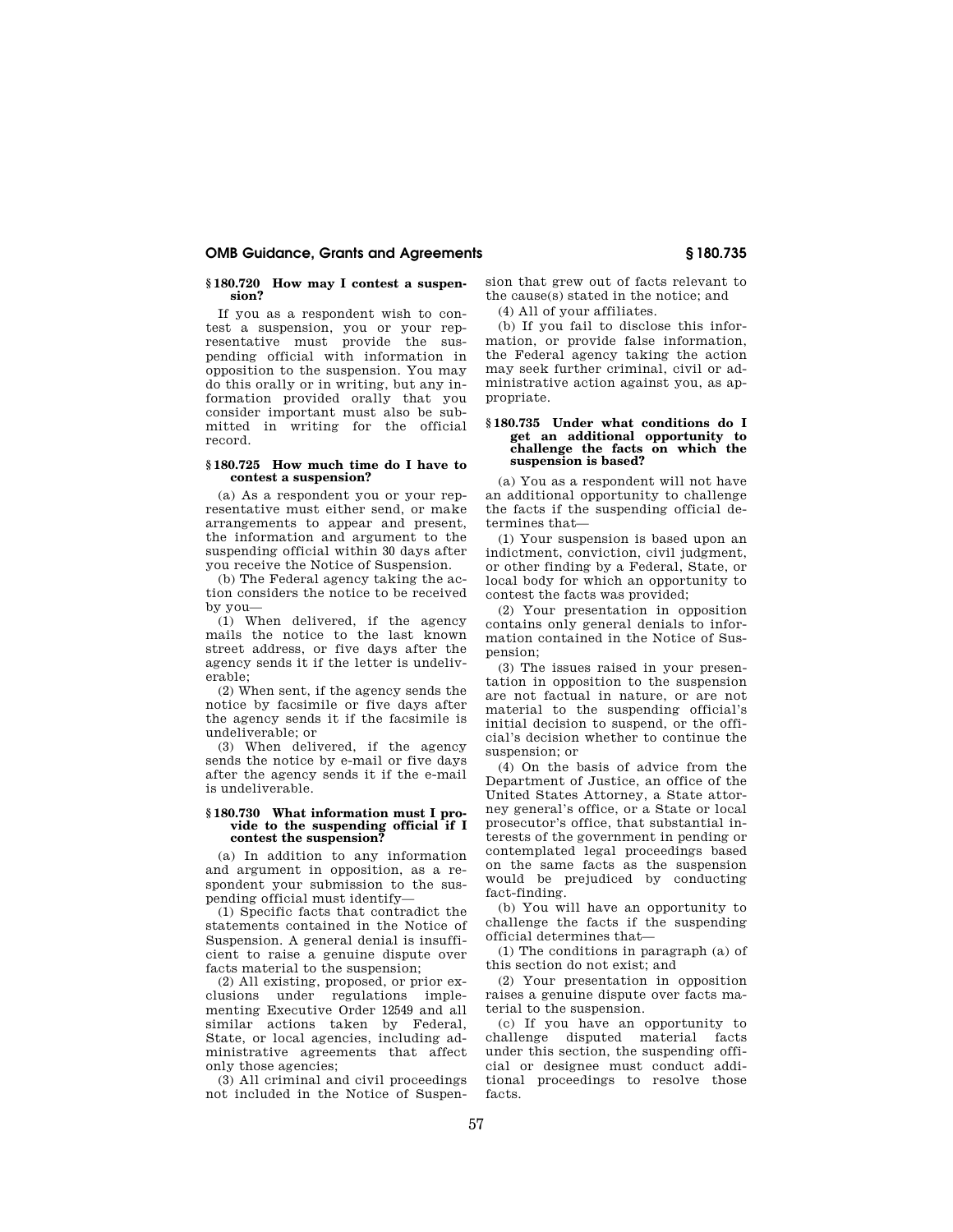#### **§ 180.720 How may I contest a suspension?**

If you as a respondent wish to contest a suspension, you or your representative must provide the suspending official with information in opposition to the suspension. You may do this orally or in writing, but any information provided orally that you consider important must also be submitted in writing for the official record.

#### **§ 180.725 How much time do I have to contest a suspension?**

(a) As a respondent you or your representative must either send, or make arrangements to appear and present, the information and argument to the suspending official within 30 days after you receive the Notice of Suspension.

(b) The Federal agency taking the action considers the notice to be received by you—

(1) When delivered, if the agency mails the notice to the last known street address, or five days after the agency sends it if the letter is undeliverable;

(2) When sent, if the agency sends the notice by facsimile or five days after the agency sends it if the facsimile is undeliverable; or

(3) When delivered, if the agency sends the notice by e-mail or five days after the agency sends it if the e-mail is undeliverable.

#### **§ 180.730 What information must I provide to the suspending official if I contest the suspension?**

(a) In addition to any information and argument in opposition, as a respondent your submission to the suspending official must identify—

(1) Specific facts that contradict the statements contained in the Notice of Suspension. A general denial is insufficient to raise a genuine dispute over facts material to the suspension;

(2) All existing, proposed, or prior ex-<br>clusions under regulations impleunder regulations implementing Executive Order 12549 and all similar actions taken by Federal, State, or local agencies, including administrative agreements that affect only those agencies;

(3) All criminal and civil proceedings not included in the Notice of Suspension that grew out of facts relevant to the cause(s) stated in the notice; and

(4) All of your affiliates.

(b) If you fail to disclose this information, or provide false information, the Federal agency taking the action may seek further criminal, civil or administrative action against you, as appropriate.

#### **§ 180.735 Under what conditions do I get an additional opportunity to challenge the facts on which the suspension is based?**

(a) You as a respondent will not have an additional opportunity to challenge the facts if the suspending official determines that—

(1) Your suspension is based upon an indictment, conviction, civil judgment, or other finding by a Federal, State, or local body for which an opportunity to contest the facts was provided;

(2) Your presentation in opposition contains only general denials to information contained in the Notice of Suspension;

(3) The issues raised in your presentation in opposition to the suspension are not factual in nature, or are not material to the suspending official's initial decision to suspend, or the official's decision whether to continue the suspension; or

(4) On the basis of advice from the Department of Justice, an office of the United States Attorney, a State attorney general's office, or a State or local prosecutor's office, that substantial interests of the government in pending or contemplated legal proceedings based on the same facts as the suspension would be prejudiced by conducting fact-finding.

(b) You will have an opportunity to challenge the facts if the suspending official determines that—

(1) The conditions in paragraph (a) of this section do not exist; and

(2) Your presentation in opposition raises a genuine dispute over facts material to the suspension.

(c) If you have an opportunity to challenge disputed material facts under this section, the suspending official or designee must conduct additional proceedings to resolve those facts.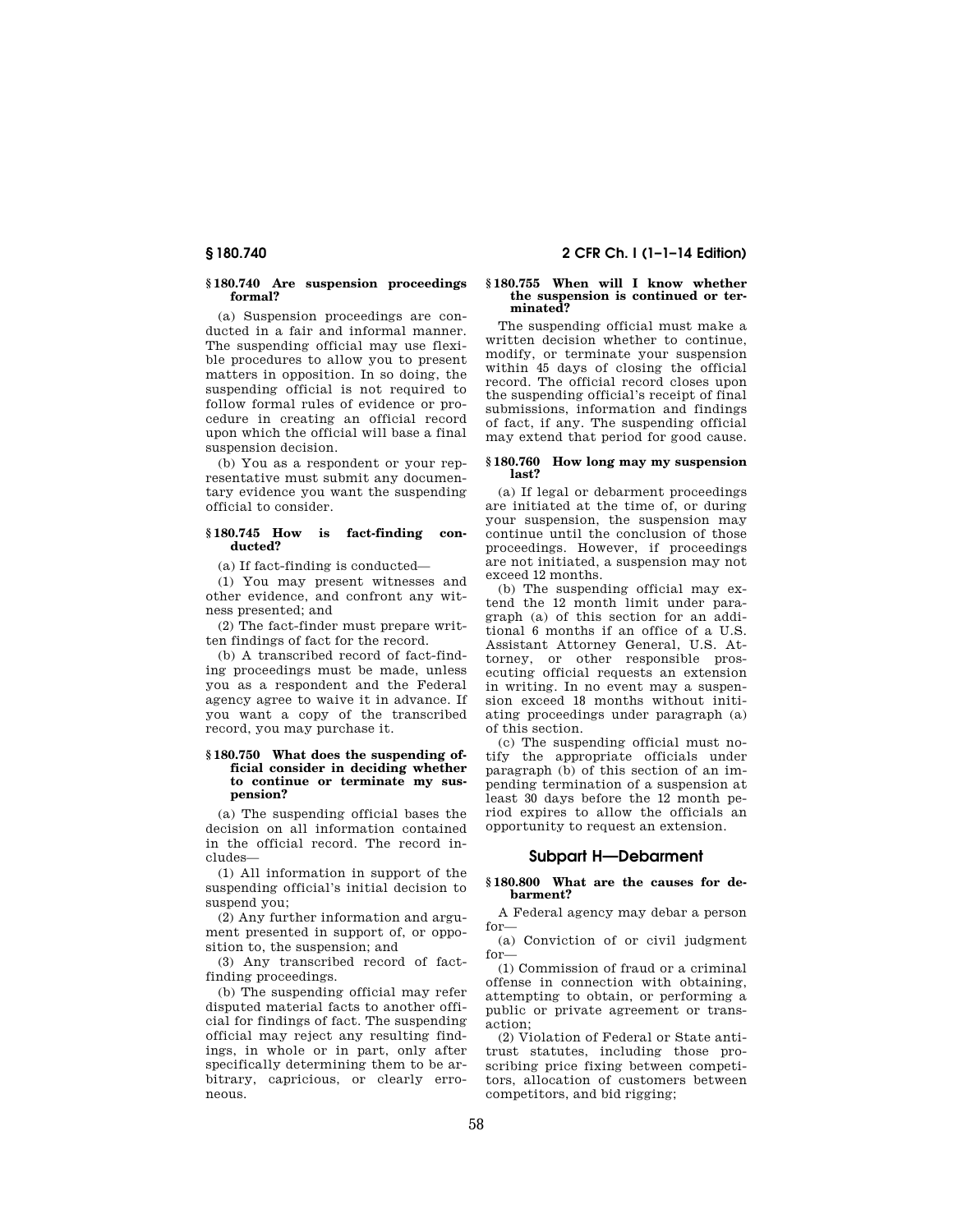### **§ 180.740 Are suspension proceedings formal?**

(a) Suspension proceedings are conducted in a fair and informal manner. The suspending official may use flexible procedures to allow you to present matters in opposition. In so doing, the suspending official is not required to follow formal rules of evidence or procedure in creating an official record upon which the official will base a final suspension decision.

(b) You as a respondent or your representative must submit any documentary evidence you want the suspending official to consider.

#### **§ 180.745 How is fact-finding conducted?**

(a) If fact-finding is conducted—

(1) You may present witnesses and other evidence, and confront any witness presented; and

(2) The fact-finder must prepare written findings of fact for the record.

(b) A transcribed record of fact-finding proceedings must be made, unless you as a respondent and the Federal agency agree to waive it in advance. If you want a copy of the transcribed record, you may purchase it.

#### **§ 180.750 What does the suspending official consider in deciding whether to continue or terminate my suspension?**

(a) The suspending official bases the decision on all information contained in the official record. The record includes—

(1) All information in support of the suspending official's initial decision to suspend you;

(2) Any further information and argument presented in support of, or opposition to, the suspension; and

(3) Any transcribed record of factfinding proceedings.

(b) The suspending official may refer disputed material facts to another official for findings of fact. The suspending official may reject any resulting findings, in whole or in part, only after specifically determining them to be arbitrary, capricious, or clearly erroneous.

# **§ 180.740 2 CFR Ch. I (1–1–14 Edition)**

#### **§ 180.755 When will I know whether the suspension is continued or terminated?**

The suspending official must make a written decision whether to continue, modify, or terminate your suspension within 45 days of closing the official record. The official record closes upon the suspending official's receipt of final submissions, information and findings of fact, if any. The suspending official may extend that period for good cause.

#### **§ 180.760 How long may my suspension last?**

(a) If legal or debarment proceedings are initiated at the time of, or during your suspension, the suspension may continue until the conclusion of those proceedings. However, if proceedings are not initiated, a suspension may not exceed 12 months.

(b) The suspending official may extend the 12 month limit under paragraph (a) of this section for an additional 6 months if an office of a U.S. Assistant Attorney General, U.S. Attorney, or other responsible prosecuting official requests an extension in writing. In no event may a suspension exceed 18 months without initiating proceedings under paragraph (a) of this section.

(c) The suspending official must notify the appropriate officials under paragraph (b) of this section of an impending termination of a suspension at least 30 days before the 12 month period expires to allow the officials an opportunity to request an extension.

# **Subpart H—Debarment**

#### **§ 180.800 What are the causes for debarment?**

A Federal agency may debar a person for—

(a) Conviction of or civil judgment for—

(1) Commission of fraud or a criminal offense in connection with obtaining, attempting to obtain, or performing a public or private agreement or transaction;

(2) Violation of Federal or State antitrust statutes, including those proscribing price fixing between competitors, allocation of customers between competitors, and bid rigging;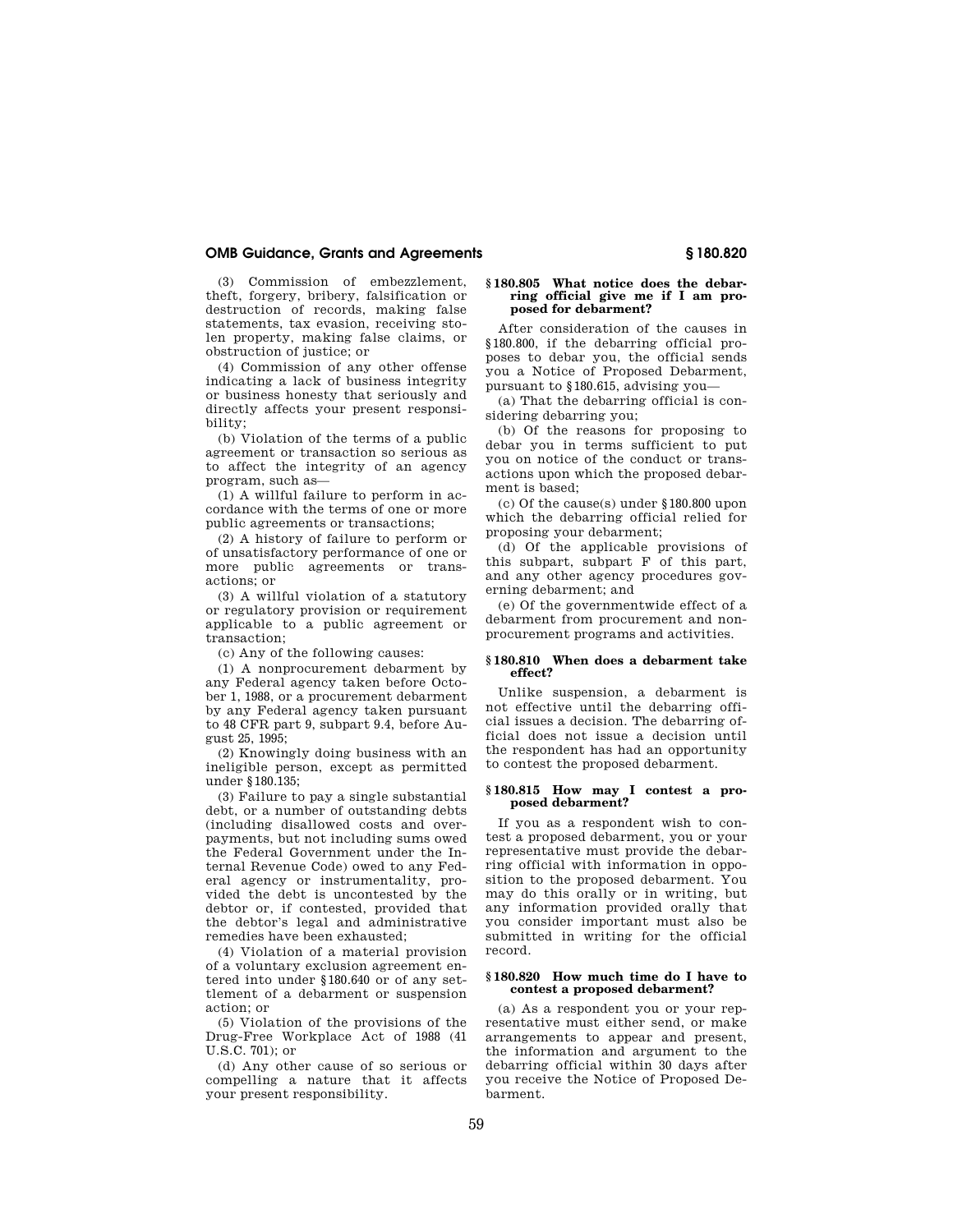(3) Commission of embezzlement, theft, forgery, bribery, falsification or destruction of records, making false statements, tax evasion, receiving stolen property, making false claims, or obstruction of justice; or

(4) Commission of any other offense indicating a lack of business integrity or business honesty that seriously and directly affects your present responsibility;

(b) Violation of the terms of a public agreement or transaction so serious as to affect the integrity of an agency program, such as—

(1) A willful failure to perform in accordance with the terms of one or more public agreements or transactions;

(2) A history of failure to perform or of unsatisfactory performance of one or more public agreements or transactions; or

(3) A willful violation of a statutory or regulatory provision or requirement applicable to a public agreement or transaction;

(c) Any of the following causes:

(1) A nonprocurement debarment by any Federal agency taken before October 1, 1988, or a procurement debarment by any Federal agency taken pursuant to 48 CFR part 9, subpart 9.4, before August 25, 1995;

(2) Knowingly doing business with an ineligible person, except as permitted under §180.135;

(3) Failure to pay a single substantial debt, or a number of outstanding debts (including disallowed costs and overpayments, but not including sums owed the Federal Government under the Internal Revenue Code) owed to any Federal agency or instrumentality, provided the debt is uncontested by the debtor or, if contested, provided that the debtor's legal and administrative remedies have been exhausted;

(4) Violation of a material provision of a voluntary exclusion agreement entered into under §180.640 or of any settlement of a debarment or suspension action; or

(5) Violation of the provisions of the Drug-Free Workplace Act of 1988 (41 U.S.C. 701); or

(d) Any other cause of so serious or compelling a nature that it affects your present responsibility.

#### **§ 180.805 What notice does the debarring official give me if I am proposed for debarment?**

After consideration of the causes in §180.800, if the debarring official proposes to debar you, the official sends you a Notice of Proposed Debarment, pursuant to §180.615, advising you—

(a) That the debarring official is considering debarring you;

(b) Of the reasons for proposing to debar you in terms sufficient to put you on notice of the conduct or transactions upon which the proposed debarment is based;

(c) Of the cause(s) under §180.800 upon which the debarring official relied for proposing your debarment;

(d) Of the applicable provisions of this subpart, subpart F of this part, and any other agency procedures governing debarment; and

(e) Of the governmentwide effect of a debarment from procurement and nonprocurement programs and activities.

### **§ 180.810 When does a debarment take effect?**

Unlike suspension, a debarment is not effective until the debarring official issues a decision. The debarring official does not issue a decision until the respondent has had an opportunity to contest the proposed debarment.

# **§ 180.815 How may I contest a proposed debarment?**

If you as a respondent wish to contest a proposed debarment, you or your representative must provide the debarring official with information in opposition to the proposed debarment. You may do this orally or in writing, but any information provided orally that you consider important must also be submitted in writing for the official record.

#### **§ 180.820 How much time do I have to contest a proposed debarment?**

(a) As a respondent you or your representative must either send, or make arrangements to appear and present, the information and argument to the debarring official within 30 days after you receive the Notice of Proposed Debarment.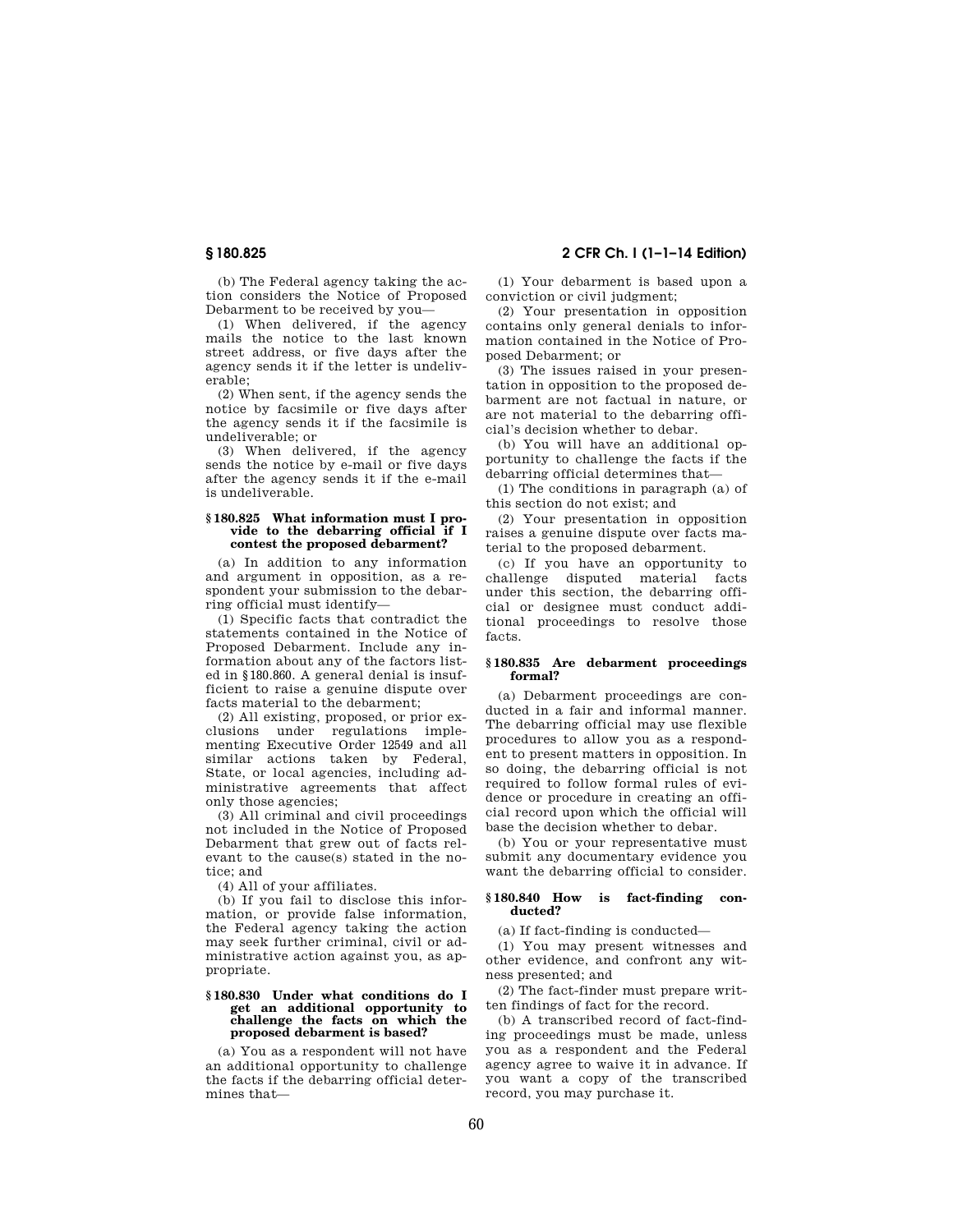(b) The Federal agency taking the action considers the Notice of Proposed Debarment to be received by you—

(1) When delivered, if the agency mails the notice to the last known street address, or five days after the agency sends it if the letter is undeliverable;

(2) When sent, if the agency sends the notice by facsimile or five days after the agency sends it if the facsimile is undeliverable; or

(3) When delivered, if the agency sends the notice by e-mail or five days after the agency sends it if the e-mail is undeliverable.

#### **§ 180.825 What information must I provide to the debarring official if I contest the proposed debarment?**

(a) In addition to any information and argument in opposition, as a respondent your submission to the debarring official must identify—

(1) Specific facts that contradict the statements contained in the Notice of Proposed Debarment. Include any information about any of the factors listed in §180.860. A general denial is insufficient to raise a genuine dispute over facts material to the debarment;

(2) All existing, proposed, or prior exclusions under regulations implementing Executive Order 12549 and all similar actions taken by Federal, State, or local agencies, including administrative agreements that affect only those agencies;

(3) All criminal and civil proceedings not included in the Notice of Proposed Debarment that grew out of facts relevant to the cause(s) stated in the notice; and

(4) All of your affiliates.

(b) If you fail to disclose this information, or provide false information, the Federal agency taking the action may seek further criminal, civil or administrative action against you, as appropriate.

#### **§ 180.830 Under what conditions do I get an additional opportunity to challenge the facts on which the proposed debarment is based?**

(a) You as a respondent will not have an additional opportunity to challenge the facts if the debarring official determines that—

# **§ 180.825 2 CFR Ch. I (1–1–14 Edition)**

(1) Your debarment is based upon a conviction or civil judgment;

(2) Your presentation in opposition contains only general denials to information contained in the Notice of Proposed Debarment; or

(3) The issues raised in your presentation in opposition to the proposed debarment are not factual in nature, or are not material to the debarring official's decision whether to debar.

(b) You will have an additional opportunity to challenge the facts if the debarring official determines that—

(1) The conditions in paragraph (a) of this section do not exist; and

(2) Your presentation in opposition raises a genuine dispute over facts material to the proposed debarment.

(c) If you have an opportunity to challenge disputed material facts under this section, the debarring official or designee must conduct additional proceedings to resolve those facts.

# **§ 180.835 Are debarment proceedings formal?**

(a) Debarment proceedings are conducted in a fair and informal manner. The debarring official may use flexible procedures to allow you as a respondent to present matters in opposition. In so doing, the debarring official is not required to follow formal rules of evidence or procedure in creating an official record upon which the official will base the decision whether to debar.

(b) You or your representative must submit any documentary evidence you want the debarring official to consider.

#### **§ 180.840 How is fact-finding conducted?**

(a) If fact-finding is conducted—

(1) You may present witnesses and other evidence, and confront any witness presented; and

(2) The fact-finder must prepare written findings of fact for the record.

(b) A transcribed record of fact-finding proceedings must be made, unless you as a respondent and the Federal agency agree to waive it in advance. If you want a copy of the transcribed record, you may purchase it.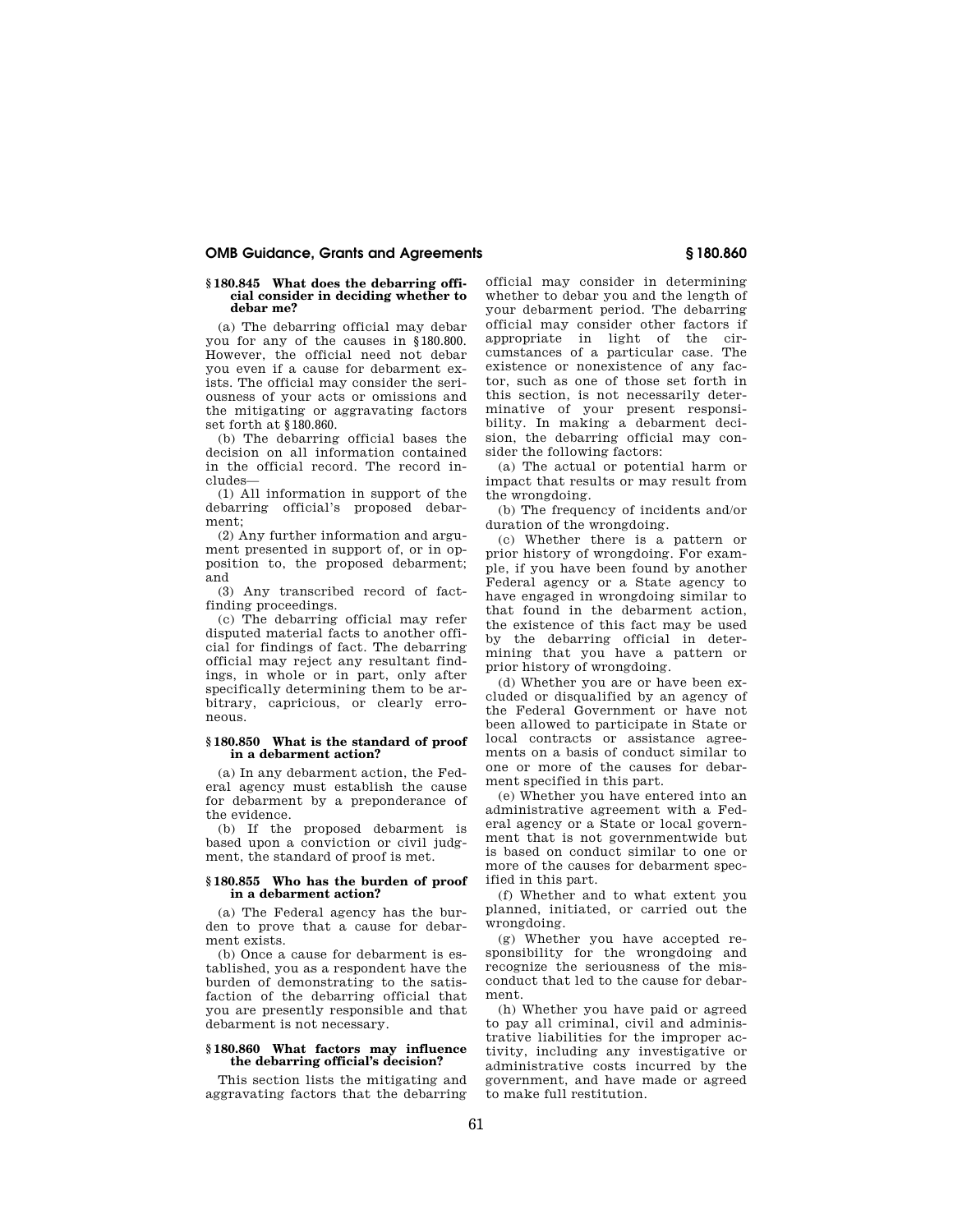#### **§ 180.845 What does the debarring official consider in deciding whether to debar me?**

(a) The debarring official may debar you for any of the causes in §180.800. However, the official need not debar you even if a cause for debarment exists. The official may consider the seriousness of your acts or omissions and the mitigating or aggravating factors set forth at §180.860.

(b) The debarring official bases the decision on all information contained in the official record. The record includes—

(1) All information in support of the debarring official's proposed debarment;

(2) Any further information and argument presented in support of, or in opposition to, the proposed debarment; and

(3) Any transcribed record of factfinding proceedings.

(c) The debarring official may refer disputed material facts to another official for findings of fact. The debarring official may reject any resultant findings, in whole or in part, only after specifically determining them to be arbitrary, capricious, or clearly erroneous.

#### **§ 180.850 What is the standard of proof in a debarment action?**

(a) In any debarment action, the Federal agency must establish the cause for debarment by a preponderance of the evidence.

(b) If the proposed debarment is based upon a conviction or civil judgment, the standard of proof is met.

#### **§ 180.855 Who has the burden of proof in a debarment action?**

(a) The Federal agency has the burden to prove that a cause for debarment exists.

(b) Once a cause for debarment is established, you as a respondent have the burden of demonstrating to the satisfaction of the debarring official that you are presently responsible and that debarment is not necessary.

#### **§ 180.860 What factors may influence the debarring official's decision?**

This section lists the mitigating and aggravating factors that the debarring

official may consider in determining whether to debar you and the length of your debarment period. The debarring official may consider other factors if appropriate in light of the circumstances of a particular case. The existence or nonexistence of any factor, such as one of those set forth in this section, is not necessarily determinative of your present responsibility. In making a debarment decision, the debarring official may consider the following factors:

(a) The actual or potential harm or impact that results or may result from the wrongdoing.

(b) The frequency of incidents and/or duration of the wrongdoing.

(c) Whether there is a pattern or prior history of wrongdoing. For example, if you have been found by another Federal agency or a State agency to have engaged in wrongdoing similar to that found in the debarment action, the existence of this fact may be used by the debarring official in determining that you have a pattern or prior history of wrongdoing.

(d) Whether you are or have been excluded or disqualified by an agency of the Federal Government or have not been allowed to participate in State or local contracts or assistance agreements on a basis of conduct similar to one or more of the causes for debarment specified in this part.

(e) Whether you have entered into an administrative agreement with a Federal agency or a State or local government that is not governmentwide but is based on conduct similar to one or more of the causes for debarment specified in this part.

(f) Whether and to what extent you planned, initiated, or carried out the wrongdoing.

(g) Whether you have accepted responsibility for the wrongdoing and recognize the seriousness of the misconduct that led to the cause for debarment.

(h) Whether you have paid or agreed to pay all criminal, civil and administrative liabilities for the improper activity, including any investigative or administrative costs incurred by the government, and have made or agreed to make full restitution.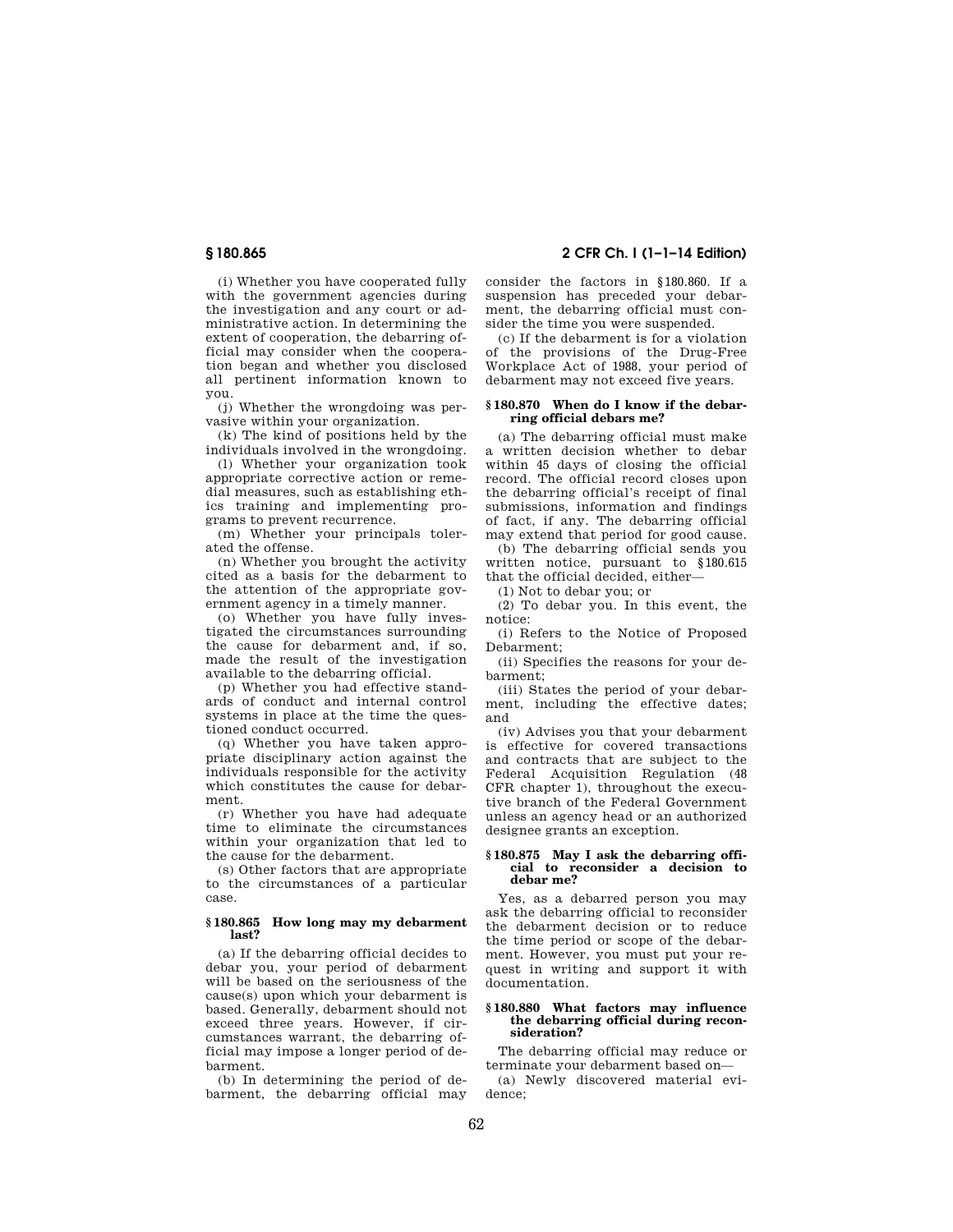(i) Whether you have cooperated fully with the government agencies during the investigation and any court or administrative action. In determining the extent of cooperation, the debarring official may consider when the cooperation began and whether you disclosed all pertinent information known to you.

(j) Whether the wrongdoing was pervasive within your organization.

(k) The kind of positions held by the individuals involved in the wrongdoing.

(l) Whether your organization took appropriate corrective action or remedial measures, such as establishing ethics training and implementing programs to prevent recurrence.

(m) Whether your principals tolerated the offense.

(n) Whether you brought the activity cited as a basis for the debarment to the attention of the appropriate government agency in a timely manner.

(o) Whether you have fully investigated the circumstances surrounding the cause for debarment and, if so, made the result of the investigation available to the debarring official.

(p) Whether you had effective standards of conduct and internal control systems in place at the time the questioned conduct occurred.

(q) Whether you have taken appropriate disciplinary action against the individuals responsible for the activity which constitutes the cause for debarment.

(r) Whether you have had adequate time to eliminate the circumstances within your organization that led to the cause for the debarment.

(s) Other factors that are appropriate to the circumstances of a particular case.

#### **§ 180.865 How long may my debarment last?**

(a) If the debarring official decides to debar you, your period of debarment will be based on the seriousness of the cause(s) upon which your debarment is based. Generally, debarment should not exceed three years. However, if circumstances warrant, the debarring official may impose a longer period of debarment.

(b) In determining the period of debarment, the debarring official may

**§ 180.865 2 CFR Ch. I (1–1–14 Edition)** 

consider the factors in §180.860. If a suspension has preceded your debarment, the debarring official must consider the time you were suspended.

(c) If the debarment is for a violation of the provisions of the Drug-Free Workplace Act of 1988, your period of debarment may not exceed five years.

# **§ 180.870 When do I know if the debarring official debars me?**

(a) The debarring official must make a written decision whether to debar within 45 days of closing the official record. The official record closes upon the debarring official's receipt of final submissions, information and findings of fact, if any. The debarring official may extend that period for good cause.

(b) The debarring official sends you written notice, pursuant to §180.615 that the official decided, either—

(1) Not to debar you; or

(2) To debar you. In this event, the notice:

(i) Refers to the Notice of Proposed Debarment;

(ii) Specifies the reasons for your debarment;

(iii) States the period of your debarment, including the effective dates; and

(iv) Advises you that your debarment is effective for covered transactions and contracts that are subject to the Federal Acquisition Regulation (48 CFR chapter 1), throughout the executive branch of the Federal Government unless an agency head or an authorized designee grants an exception.

#### **§ 180.875 May I ask the debarring official to reconsider a decision to debar me?**

Yes, as a debarred person you may ask the debarring official to reconsider the debarment decision or to reduce the time period or scope of the debarment. However, you must put your request in writing and support it with documentation.

#### **§ 180.880 What factors may influence the debarring official during reconsideration?**

The debarring official may reduce or terminate your debarment based on—

(a) Newly discovered material evidence;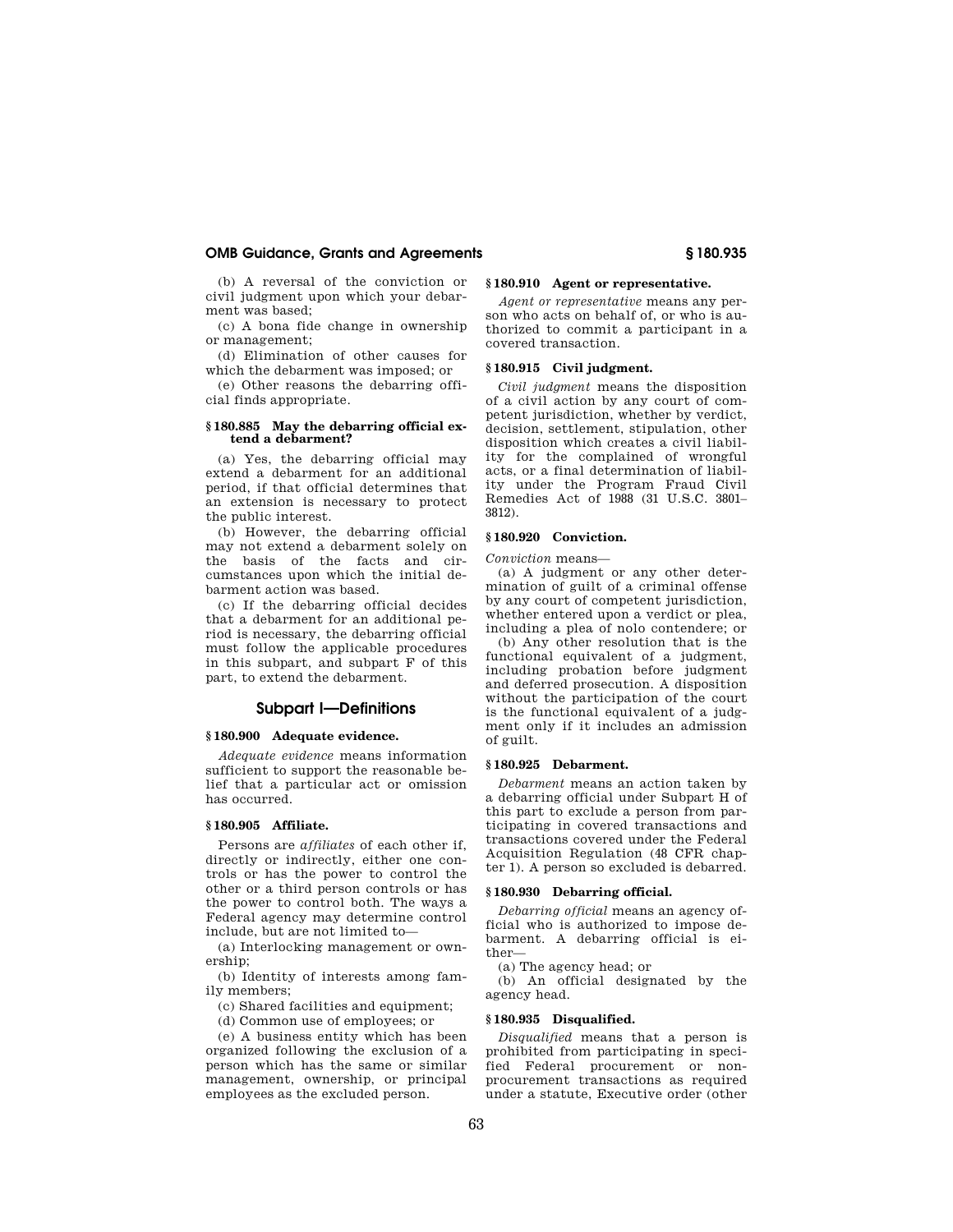(b) A reversal of the conviction or civil judgment upon which your debarment was based;

(c) A bona fide change in ownership or management;

(d) Elimination of other causes for which the debarment was imposed; or

(e) Other reasons the debarring official finds appropriate.

#### **§ 180.885 May the debarring official extend a debarment?**

(a) Yes, the debarring official may extend a debarment for an additional period, if that official determines that an extension is necessary to protect the public interest.

(b) However, the debarring official may not extend a debarment solely on the basis of the facts and circumstances upon which the initial debarment action was based.

(c) If the debarring official decides that a debarment for an additional period is necessary, the debarring official must follow the applicable procedures in this subpart, and subpart F of this part, to extend the debarment.

# **Subpart I—Definitions**

# **§ 180.900 Adequate evidence.**

*Adequate evidence* means information sufficient to support the reasonable belief that a particular act or omission has occurred.

#### **§ 180.905 Affiliate.**

Persons are *affiliates* of each other if, directly or indirectly, either one controls or has the power to control the other or a third person controls or has the power to control both. The ways a Federal agency may determine control include, but are not limited to—

(a) Interlocking management or ownership;

(b) Identity of interests among family members;

(c) Shared facilities and equipment;

(d) Common use of employees; or

(e) A business entity which has been organized following the exclusion of a person which has the same or similar management, ownership, or principal employees as the excluded person.

# **§ 180.910 Agent or representative.**

*Agent or representative* means any person who acts on behalf of, or who is authorized to commit a participant in a covered transaction.

# **§ 180.915 Civil judgment.**

*Civil judgment* means the disposition of a civil action by any court of competent jurisdiction, whether by verdict, decision, settlement, stipulation, other disposition which creates a civil liability for the complained of wrongful acts, or a final determination of liability under the Program Fraud Civil Remedies Act of 1988 (31 U.S.C. 3801– 3812).

### **§ 180.920 Conviction.**

*Conviction* means—

(a) A judgment or any other determination of guilt of a criminal offense by any court of competent jurisdiction, whether entered upon a verdict or plea, including a plea of nolo contendere; or

(b) Any other resolution that is the functional equivalent of a judgment, including probation before judgment and deferred prosecution. A disposition without the participation of the court is the functional equivalent of a judgment only if it includes an admission of guilt.

# **§ 180.925 Debarment.**

*Debarment* means an action taken by a debarring official under Subpart H of this part to exclude a person from participating in covered transactions and transactions covered under the Federal Acquisition Regulation (48 CFR chapter 1). A person so excluded is debarred.

#### **§ 180.930 Debarring official.**

*Debarring official* means an agency official who is authorized to impose debarment. A debarring official is either—

(a) The agency head; or

(b) An official designated by the agency head.

#### **§ 180.935 Disqualified.**

*Disqualified* means that a person is prohibited from participating in specified Federal procurement or nonprocurement transactions as required under a statute, Executive order (other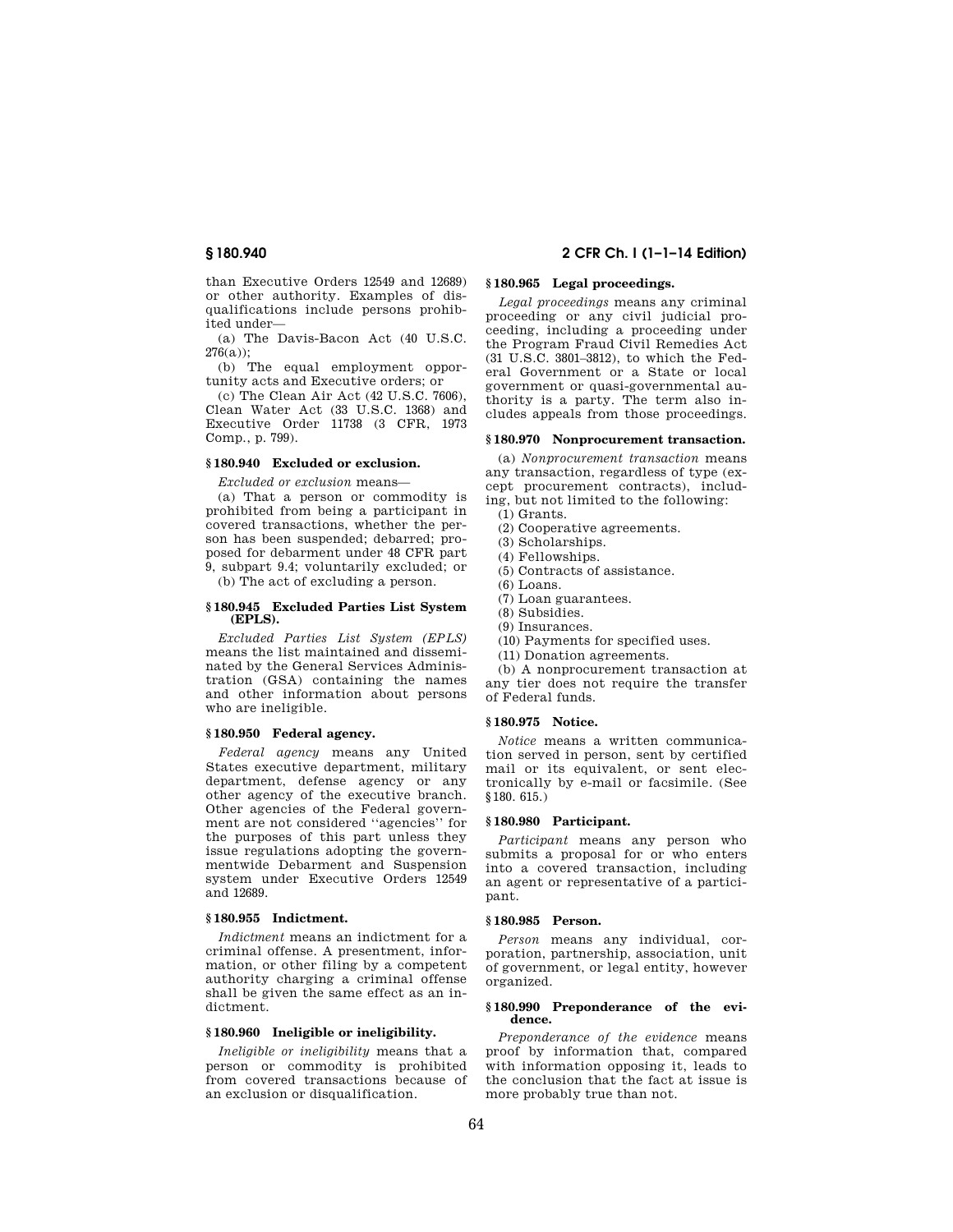than Executive Orders 12549 and 12689) or other authority. Examples of disqualifications include persons prohibited under—

(a) The Davis-Bacon Act (40 U.S.C. 276(a));

(b) The equal employment opportunity acts and Executive orders; or

(c) The Clean Air Act (42 U.S.C. 7606), Clean Water Act (33 U.S.C. 1368) and Executive Order 11738 (3 CFR, 1973 Comp., p. 799).

#### **§ 180.940 Excluded or exclusion.**

*Excluded or exclusion* means—

(a) That a person or commodity is prohibited from being a participant in covered transactions, whether the person has been suspended; debarred; proposed for debarment under 48 CFR part 9, subpart 9.4; voluntarily excluded; or

(b) The act of excluding a person.

#### **§ 180.945 Excluded Parties List System (EPLS).**

*Excluded Parties List System (EPLS)*  means the list maintained and disseminated by the General Services Administration (GSA) containing the names and other information about persons who are ineligible.

# **§ 180.950 Federal agency.**

*Federal agency* means any United States executive department, military department, defense agency or any other agency of the executive branch. Other agencies of the Federal government are not considered ''agencies'' for the purposes of this part unless they issue regulations adopting the governmentwide Debarment and Suspension system under Executive Orders 12549 and 12689.

# **§ 180.955 Indictment.**

*Indictment* means an indictment for a criminal offense. A presentment, information, or other filing by a competent authority charging a criminal offense shall be given the same effect as an indictment.

# **§ 180.960 Ineligible or ineligibility.**

*Ineligible or ineligibility* means that a person or commodity is prohibited from covered transactions because of an exclusion or disqualification.

# **§ 180.940 2 CFR Ch. I (1–1–14 Edition)**

# **§ 180.965 Legal proceedings.**

*Legal proceedings* means any criminal proceeding or any civil judicial proceeding, including a proceeding under the Program Fraud Civil Remedies Act (31 U.S.C. 3801–3812), to which the Federal Government or a State or local government or quasi-governmental authority is a party. The term also includes appeals from those proceedings.

# **§ 180.970 Nonprocurement transaction.**

(a) *Nonprocurement transaction* means any transaction, regardless of type (except procurement contracts), including, but not limited to the following:

(1) Grants.

- (2) Cooperative agreements.
- (3) Scholarships.
- (4) Fellowships.
- (5) Contracts of assistance.
- $(6)$  Loans.
- (7) Loan guarantees.
- (8) Subsidies.
- (9) Insurances.
- (10) Payments for specified uses.
- (11) Donation agreements.

(b) A nonprocurement transaction at any tier does not require the transfer of Federal funds.

#### **§ 180.975 Notice.**

*Notice* means a written communication served in person, sent by certified mail or its equivalent, or sent electronically by e-mail or facsimile. (See §180. 615.)

#### **§ 180.980 Participant.**

*Participant* means any person who submits a proposal for or who enters into a covered transaction, including an agent or representative of a participant.

# **§ 180.985 Person.**

*Person* means any individual, corporation, partnership, association, unit of government, or legal entity, however organized.

#### **§ 180.990 Preponderance of the evidence.**

*Preponderance of the evidence* means proof by information that, compared with information opposing it, leads to the conclusion that the fact at issue is more probably true than not.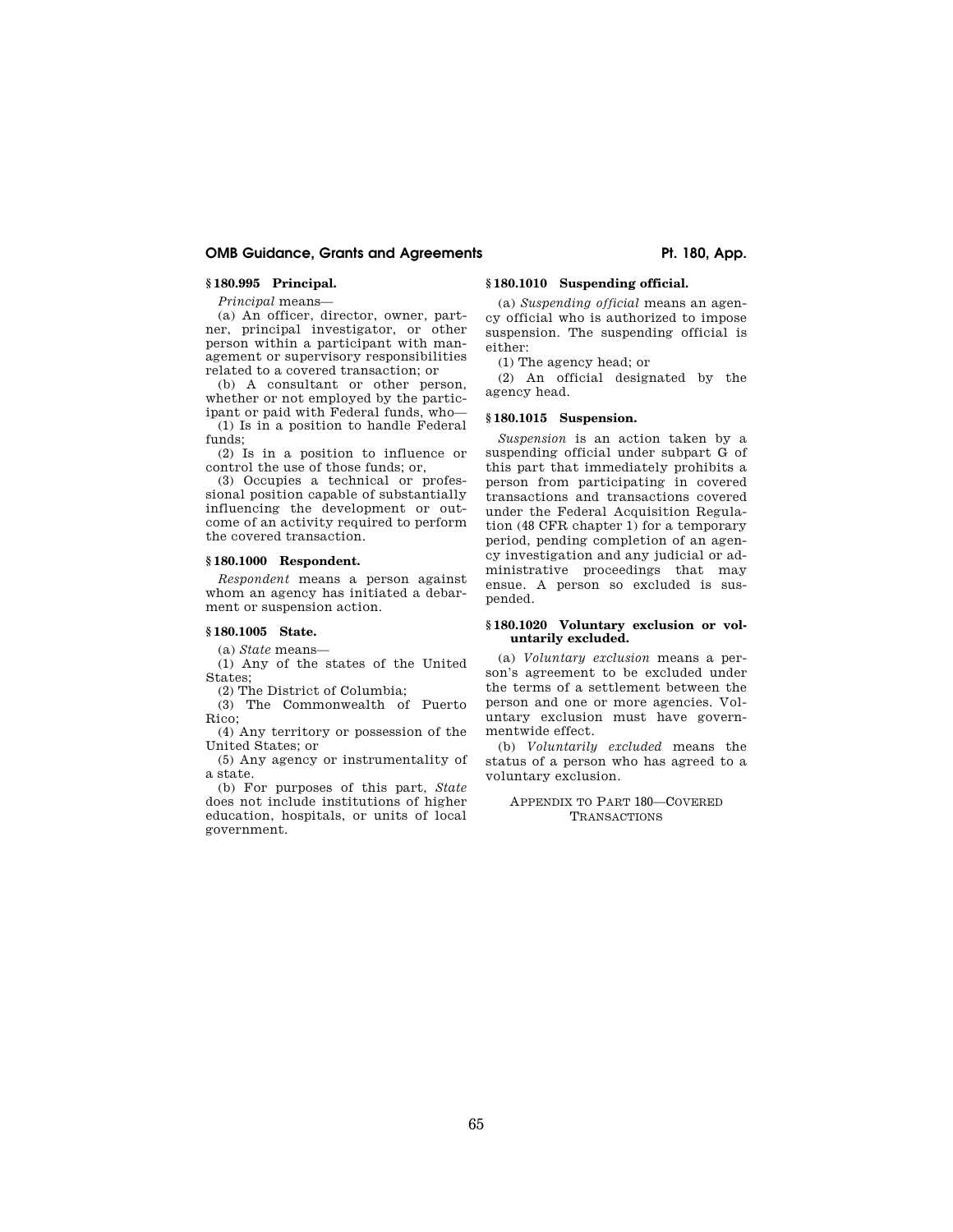# OMB Guidance, Grants and Agreements **Philips Access 2016** Pt. 180, App.

# **§ 180.995 Principal.**

*Principal* means—

(a) An officer, director, owner, partner, principal investigator, or other person within a participant with management or supervisory responsibilities related to a covered transaction; or

(b) A consultant or other person, whether or not employed by the participant or paid with Federal funds, who—

(1) Is in a position to handle Federal funds;

(2) Is in a position to influence or control the use of those funds; or,

(3) Occupies a technical or professional position capable of substantially influencing the development or outcome of an activity required to perform the covered transaction.

# **§ 180.1000 Respondent.**

*Respondent* means a person against whom an agency has initiated a debarment or suspension action.

# **§ 180.1005 State.**

(a) *State* means—

(1) Any of the states of the United States;

(2) The District of Columbia;

(3) The Commonwealth of Puerto Rico;

(4) Any territory or possession of the United States; or

(5) Any agency or instrumentality of a state.

(b) For purposes of this part, *State*  does not include institutions of higher education, hospitals, or units of local government.

# **§ 180.1010 Suspending official.**

(a) *Suspending official* means an agency official who is authorized to impose suspension. The suspending official is either:

(1) The agency head; or

(2) An official designated by the agency head.

# **§ 180.1015 Suspension.**

*Suspension* is an action taken by a suspending official under subpart G of this part that immediately prohibits a person from participating in covered transactions and transactions covered under the Federal Acquisition Regulation (48 CFR chapter 1) for a temporary period, pending completion of an agency investigation and any judicial or administrative proceedings that may ensue. A person so excluded is suspended.

# **§ 180.1020 Voluntary exclusion or voluntarily excluded.**

(a) *Voluntary exclusion* means a person's agreement to be excluded under the terms of a settlement between the person and one or more agencies. Voluntary exclusion must have governmentwide effect.

(b) *Voluntarily excluded* means the status of a person who has agreed to a voluntary exclusion.

#### APPENDIX TO PART 180—COVERED TRANSACTIONS